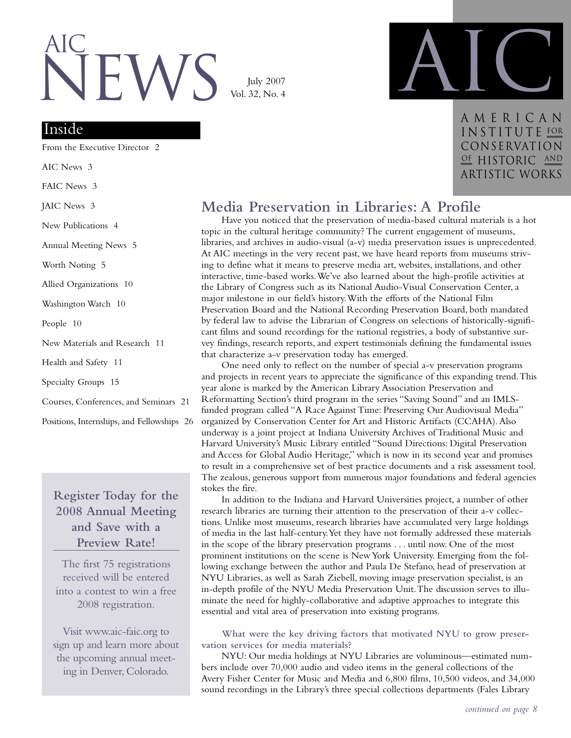# $\mathsf{W}$ AIc

July 2007 Vol. 32, No. 4

## Inside

From the Executive Director 2

AIC News 3

FAIC News 3

JAIC News 3

New Publications 4

Annual Meeting News 5

Worth Noting 5

Allied Organizations 10

Washington Watch 10

People 10

New Materials and Research 11

Health and Safety 11

Specialty Groups 15

Courses, Conferences, and Seminars 21

Positions, Internships, and Fellowships 26

## **Register Today for the 2008 Annual Meeting and Save with a Preview Rate!**

The first 75 registrations received will be entered into a contest to win a free 2008 registration.

Visit www.aic-faic.org to sign up and learn more about the upcoming annual meeting in Denver, Colorado.



American INSTITUTE FOR Conservation OF HISTORIC AND artistic works

## **Media Preservation in Libraries: A Profile**

Have you noticed that the preservation of media-based cultural materials is a hot topic in the cultural heritage community? The current engagement of museums, libraries, and archives in audio-visual (a-v) media preservation issues is unprecedented. At AIC meetings in the very recent past, we have heard reports from museums striving to define what it means to preserve media art, websites, installations, and other interactive, time-based works.We've also learned about the high-profile activities at the Library of Congress such as its National Audio-Visual Conservation Center, a major milestone in our field's history.With the efforts of the National Film Preservation Board and the National Recording Preservation Board, both mandated by federal law to advise the Librarian of Congress on selections of historically-significant films and sound recordings for the national registries, a body of substantive survey findings, research reports, and expert testimonials defining the fundamental issues that characterize a-v preservation today has emerged.

One need only to reflect on the number of special a-v preservation programs and projects in recent years to appreciate the significance of this expanding trend.This year alone is marked by the American Library Association Preservation and Reformatting Section's third program in the series "Saving Sound" and an IMLSfunded program called "A Race Against Time: Preserving Our Audiovisual Media" organized by Conservation Center for Art and Historic Artifacts (CCAHA).Also underway is a joint project at Indiana University Archives of Traditional Music and Harvard University's Music Library entitled "Sound Directions: Digital Preservation and Access for Global Audio Heritage," which is now in its second year and promises to result in a comprehensive set of best practice documents and a risk assessment tool. The zealous, generous support from numerous major foundations and federal agencies stokes the fire.

In addition to the Indiana and Harvard Universities project, a number of other research libraries are turning their attention to the preservation of their a-v collections. Unlike most museums, research libraries have accumulated very large holdings of media in the last half-century.Yet they have not formally addressed these materials in the scope of the library preservation programs . . . until now. One of the most prominent institutions on the scene is New York University. Emerging from the following exchange between the author and Paula De Stefano, head of preservation at NYU Libraries, as well as Sarah Ziebell, moving image preservation specialist, is an in-depth profile of the NYU Media Preservation Unit.The discussion serves to illuminate the need for highly-collaborative and adaptive approaches to integrate this essential and vital area of preservation into existing programs.

**What were the key driving factors that motivated NYU to grow preservation services for media materials?**

NYU: Our media holdings at NYU Libraries are voluminous—estimated numbers include over 70,000 audio and video items in the general collections of the Avery Fisher Center for Music and Media and 6,800 films, 10,500 videos, and 34,000 sound recordings in the Library's three special collections departments (Fales Library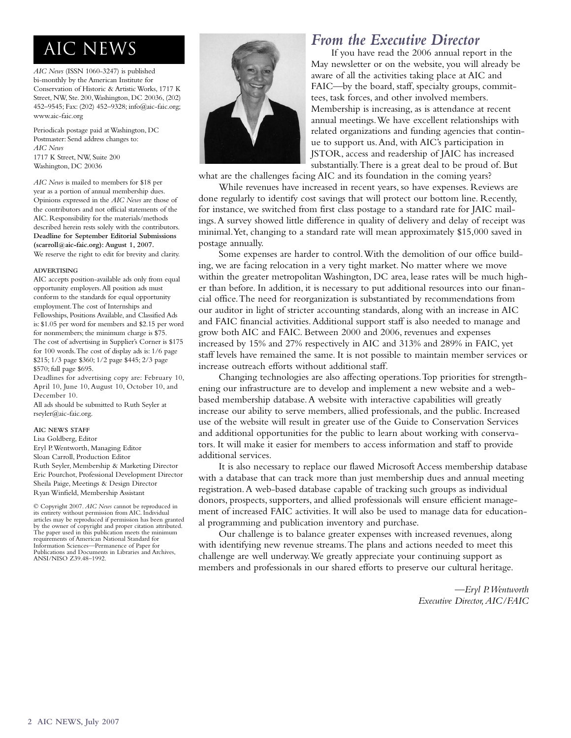*AIC News* (ISSN 1060-3247) is published bi-monthly by the American Institute for Conservation of Historic & Artistic Works, 1717 K Street, NW, Ste. 200,Washington, DC 20036, (202) 452–9545; Fax: (202) 452–9328; info@aic-faic.org; www.aic-faic.org

Periodicals postage paid at Washington, DC Postmaster: Send address changes to: *AIC News* 1717 K Street, NW, Suite 200 Washington, DC 20036

*AIC News* is mailed to members for \$18 per year as a portion of annual membership dues. Opinions expressed in the *AIC News* are those of the contributors and not official statements of the AIC. Responsibility for the materials/methods described herein rests solely with the contributors. **Deadline for September Editorial Submissions (scarroll@aic-faic.org): August 1, 2007.** We reserve the right to edit for brevity and clarity.

#### **ADVERTISING**

AIC accepts position-available ads only from equal opportunity employers.All position ads must conform to the standards for equal opportunity employment.The cost of Internships and Fellowships, Positions Available, and Classified Ads is: \$1.05 per word for members and \$2.15 per word for nonmembers; the minimum charge is \$75. The cost of advertising in Supplier's Corner is \$175 for 100 words.The cost of display ads is: 1/6 page \$215; 1/3 page \$360; 1/2 page \$445; 2/3 page \$570; full page \$695.

Deadlines for advertising copy are: February 10, April 10, June 10, August 10, October 10, and December 10.

All ads should be submitted to Ruth Seyler at rseyler@aic-faic.org.

#### **AIC NEWS STAFF**

Lisa Goldberg, Editor Eryl P.Wentworth, Managing Editor Sloan Carroll, Production Editor Ruth Seyler, Membership & Marketing Director Eric Pourchot, Professional Development Director Sheila Paige, Meetings & Design Director Ryan Winfield, Membership Assistant

© Copyright 2007. *AIC News* cannot be reproduced in its entirety without permission from AIC. Individual articles may be reproduced if permission has been granted by the owner of copyright and proper citation attributed. The paper used in this publication meets the minimum requirements of American National Standard for Information Sciences—Permanence of Paper for Publications and Documents in Libraries and Archives, ANSI/NISO Z39.48–1992.



## **AIC NEWS** *From the Executive Director From the Executive Director If* **you have read the 2006 annual report**

If you have read the 2006 annual report in the May newsletter or on the website, you will already be aware of all the activities taking place at AIC and FAIC—by the board, staff, specialty groups, committees, task forces, and other involved members. Membership is increasing, as is attendance at recent annual meetings.We have excellent relationships with related organizations and funding agencies that continue to support us.And, with AIC's participation in JSTOR, access and readership of JAIC has increased substantially.There is a great deal to be proud of. But

what are the challenges facing AIC and its foundation in the coming years?

While revenues have increased in recent years, so have expenses. Reviews are done regularly to identify cost savings that will protect our bottom line. Recently, for instance, we switched from first class postage to a standard rate for JAIC mailings.A survey showed little difference in quality of delivery and delay of receipt was minimal.Yet, changing to a standard rate will mean approximately \$15,000 saved in postage annually.

Some expenses are harder to control.With the demolition of our office building, we are facing relocation in a very tight market. No matter where we move within the greater metropolitan Washington, DC area, lease rates will be much higher than before. In addition, it is necessary to put additional resources into our financial office.The need for reorganization is substantiated by recommendations from our auditor in light of stricter accounting standards, along with an increase in AIC and FAIC financial activities.Additional support staff is also needed to manage and grow both AIC and FAIC. Between 2000 and 2006, revenues and expenses increased by 15% and 27% respectively in AIC and 313% and 289% in FAIC, yet staff levels have remained the same. It is not possible to maintain member services or increase outreach efforts without additional staff.

Changing technologies are also affecting operations.Top priorities for strengthening our infrastructure are to develop and implement a new website and a webbased membership database.A website with interactive capabilities will greatly increase our ability to serve members, allied professionals, and the public. Increased use of the website will result in greater use of the Guide to Conservation Services and additional opportunities for the public to learn about working with conservators. It will make it easier for members to access information and staff to provide additional services.

It is also necessary to replace our flawed Microsoft Access membership database with a database that can track more than just membership dues and annual meeting registration.A web-based database capable of tracking such groups as individual donors, prospects, supporters, and allied professionals will ensure efficient management of increased FAIC activities. It will also be used to manage data for educational programming and publication inventory and purchase.

Our challenge is to balance greater expenses with increased revenues, along with identifying new revenue streams.The plans and actions needed to meet this challenge are well underway.We greatly appreciate your continuing support as members and professionals in our shared efforts to preserve our cultural heritage.

> *—Eryl P.Wentworth Executive Director,AIC/FAIC*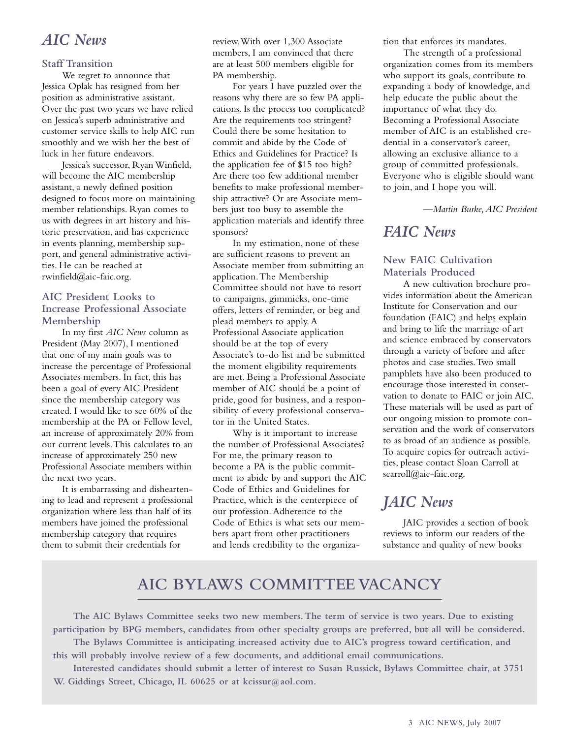## *AIC News*

### **Staff Transition**

We regret to announce that Jessica Oplak has resigned from her position as administrative assistant. Over the past two years we have relied on Jessica's superb administrative and customer service skills to help AIC run smoothly and we wish her the best of luck in her future endeavors.

Jessica's successor, Ryan Winfield, will become the AIC membership assistant, a newly defined position designed to focus more on maintaining member relationships. Ryan comes to us with degrees in art history and historic preservation, and has experience in events planning, membership support, and general administrative activities. He can be reached at rwinfield@aic-faic.org.

## **AIC President Looks to Increase Professional Associate Membership**

In my first *AIC News* column as President (May 2007), I mentioned that one of my main goals was to increase the percentage of Professional Associates members. In fact, this has been a goal of every AIC President since the membership category was created. I would like to see 60% of the membership at the PA or Fellow level, an increase of approximately 20% from our current levels.This calculates to an increase of approximately 250 new Professional Associate members within the next two years.

It is embarrassing and disheartening to lead and represent a professional organization where less than half of its members have joined the professional membership category that requires them to submit their credentials for

review.With over 1,300 Associate members, I am convinced that there are at least 500 members eligible for PA membership.

For years I have puzzled over the reasons why there are so few PA applications. Is the process too complicated? Are the requirements too stringent? Could there be some hesitation to commit and abide by the Code of Ethics and Guidelines for Practice? Is the application fee of \$15 too high? Are there too few additional member benefits to make professional membership attractive? Or are Associate members just too busy to assemble the application materials and identify three sponsors?

In my estimation, none of these are sufficient reasons to prevent an Associate member from submitting an application.The Membership Committee should not have to resort to campaigns, gimmicks, one-time offers, letters of reminder, or beg and plead members to apply. A Professional Associate application should be at the top of every Associate's to-do list and be submitted the moment eligibility requirements are met. Being a Professional Associate member of AIC should be a point of pride, good for business, and a responsibility of every professional conservator in the United States.

Why is it important to increase the number of Professional Associates? For me, the primary reason to become a PA is the public commitment to abide by and support the AIC Code of Ethics and Guidelines for Practice, which is the centerpiece of our profession. Adherence to the Code of Ethics is what sets our members apart from other practitioners and lends credibility to the organization that enforces its mandates.

The strength of a professional organization comes from its members who support its goals, contribute to expanding a body of knowledge, and help educate the public about the importance of what they do. Becoming a Professional Associate member of AIC is an established credential in a conservator's career, allowing an exclusive alliance to a group of committed professionals. Everyone who is eligible should want to join, and I hope you will.

*—Martin Burke,AIC President*

## *FAIC News*

## **New FAIC Cultivation Materials Produced**

A new cultivation brochure provides information about the American Institute for Conservation and our foundation (FAIC) and helps explain and bring to life the marriage of art and science embraced by conservators through a variety of before and after photos and case studies.Two small pamphlets have also been produced to encourage those interested in conservation to donate to FAIC or join AIC. These materials will be used as part of our ongoing mission to promote conservation and the work of conservators to as broad of an audience as possible. To acquire copies for outreach activities, please contact Sloan Carroll at scarroll@aic-faic.org.

## *JAIC News*

JAIC provides a section of book reviews to inform our readers of the substance and quality of new books

## **AIC BYLAWS COMMITTEE VACANCY**

**The AIC Bylaws Committee seeks two new members.The term of service is two years. Due to existing participation by BPG members, candidates from other specialty groups are preferred, but all will be considered. The Bylaws Committee is anticipating increased activity due to AIC's progress toward certification, and**

**this will probably involve review of a few documents, and additional email communications.**

**Interested candidates should submit a letter of interest to Susan Russick, Bylaws Committee chair, at 3751 W. Giddings Street, Chicago, IL 60625 or at kcissur@aol.com.**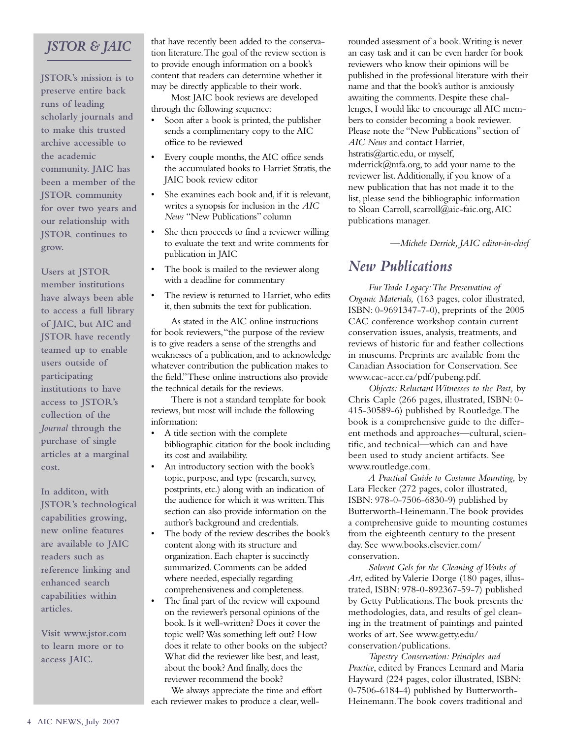## *JSTOR & JAIC*

**JSTOR's mission is to preserve entire back runs of leading scholarly journals and to make this trusted archive accessible to the academic community. JAIC has been a member of the JSTOR community for over two years and our relationship with JSTOR continues to grow.**

**Users at JSTOR member institutions have always been able to access a full library of JAIC, but AIC and JSTOR have recently teamed up to enable users outside of participating institutions to have access to JSTOR's collection of the** *Journal* **through the purchase of single articles at a marginal cost.**

**In additon, with JSTOR's technological capabilities growing, new online features are available to JAIC readers such as reference linking and enhanced search capabilities within articles.**

**Visit www.jstor.com to learn more or to access JAIC.**

that have recently been added to the conservation literature.The goal of the review section is to provide enough information on a book's content that readers can determine whether it may be directly applicable to their work.

Most JAIC book reviews are developed through the following sequence:

- Soon after a book is printed, the publisher sends a complimentary copy to the AIC office to be reviewed
- Every couple months, the AIC office sends the accumulated books to Harriet Stratis, the JAIC book review editor
- She examines each book and, if it is relevant, writes a synopsis for inclusion in the *AIC News* "New Publications" column
- She then proceeds to find a reviewer willing to evaluate the text and write comments for publication in JAIC
- The book is mailed to the reviewer along with a deadline for commentary
- The review is returned to Harriet, who edits it, then submits the text for publication.

As stated in the AIC online instructions for book reviewers,"the purpose of the review is to give readers a sense of the strengths and weaknesses of a publication, and to acknowledge whatever contribution the publication makes to the field."These online instructions also provide the technical details for the reviews.

There is not a standard template for book reviews, but most will include the following information:

- A title section with the complete bibliographic citation for the book including its cost and availability.
- An introductory section with the book's topic, purpose, and type (research, survey, postprints, etc.) along with an indication of the audience for which it was written.This section can also provide information on the author's background and credentials.
- The body of the review describes the book's content along with its structure and organization. Each chapter is succinctly summarized. Comments can be added where needed, especially regarding comprehensiveness and completeness.
- The final part of the review will expound on the reviewer's personal opinions of the book. Is it well-written? Does it cover the topic well? Was something left out? How does it relate to other books on the subject? What did the reviewer like best, and least, about the book? And finally, does the reviewer recommend the book?

We always appreciate the time and effort each reviewer makes to produce a clear, wellrounded assessment of a book.Writing is never an easy task and it can be even harder for book reviewers who know their opinions will be published in the professional literature with their name and that the book's author is anxiously awaiting the comments. Despite these challenges, I would like to encourage all AIC members to consider becoming a book reviewer. Please note the "New Publications" section of *AIC News* and contact Harriet, hstratis@artic.edu, or myself, mderrick@mfa.org, to add your name to the reviewer list.Additionally, if you know of a new publication that has not made it to the list, please send the bibliographic information to Sloan Carroll, scarroll@aic-faic.org,AIC publications manager.

*—Michele Derrick, JAIC editor-in-chief*

## *New Publications*

*Fur Trade Legacy:The Preservation of Organic Materials,* (163 pages, color illustrated, ISBN: 0-9691347-7-0), preprints of the 2005 CAC conference workshop contain current conservation issues, analysis, treatments, and reviews of historic fur and feather collections in museums. Preprints are available from the Canadian Association for Conservation. See www.cac-accr.ca/pdf/pubeng.pdf.

*Objects: Reluctant Witnesses to the Past,* by Chris Caple (266 pages, illustrated, ISBN: 0- 415-30589-6) published by Routledge.The book is a comprehensive guide to the different methods and approaches—cultural, scientific, and technical—which can and have been used to study ancient artifacts. See www.routledge.com.

*A Practical Guide to Costume Mounting,* by Lara Flecker (272 pages, color illustrated, ISBN: 978-0-7506-6830-9) published by Butterworth-Heinemann.The book provides a comprehensive guide to mounting costumes from the eighteenth century to the present day. See www.books.elsevier.com/ conservation.

*Solvent Gels for the Cleaning of Works of Art*, edited by Valerie Dorge (180 pages, illustrated, ISBN: 978-0-892367-59-7) published by Getty Publications.The book presents the methodologies, data, and results of gel cleaning in the treatment of paintings and painted works of art. See www.getty.edu/ conservation/publications.

*Tapestry Conservation: Principles and Practice*, edited by Frances Lennard and Maria Hayward (224 pages, color illustrated, ISBN: 0-7506-6184-4) published by Butterworth-Heinemann.The book covers traditional and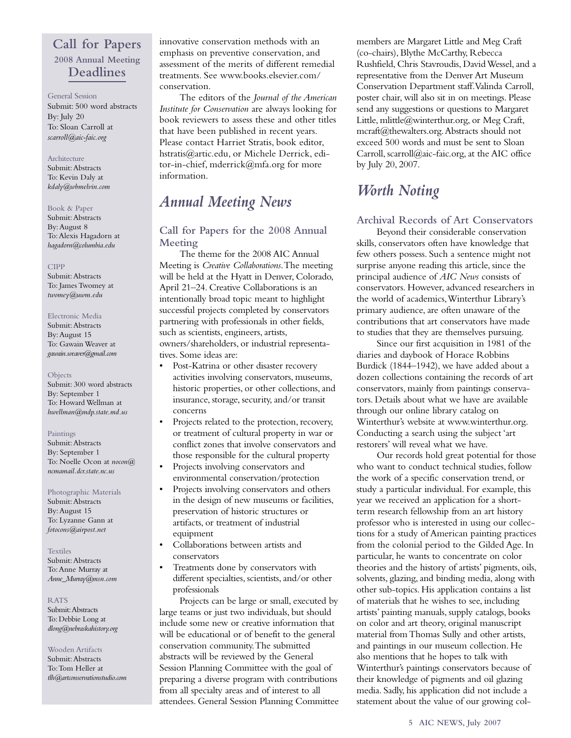## **Call for Papers 2008 Annual Meeting Deadlines**

#### General Session Submit: 500 word abstracts By: July 20 To: Sloan Carroll at *scarroll@aic-faic.org*

#### Architecture

Submit:Abstracts To: Kevin Daly at *kdaly@wbmelvin.com*

#### Book & Paper

Submit:Abstracts By:August 8 To:Alexis Hagadorn at *hagadorn@columbia.edu*

#### CIPP

Submit:Abstracts To: James Twomey at *twomey@uwm.edu*

#### Electronic Media

Submit:Abstracts By:August 15 To: Gawain Weaver at *gawain.weaver@gmail.com*

#### **Objects**

Submit: 300 word abstracts By: September 1 To: Howard Wellman at *hwellman@mdp.state.md.us*

#### Paintings

Submit:Abstracts By: September 1 To: Noelle Ocon at *nocon@ ncmamail.dcr.state.nc.us* 

Photographic Materials Submit:Abstracts By:August 15 To: Lyzanne Gann at *fotocons@airpost.net*

Textiles Submit:Abstracts To:Anne Murray at *Anne\_Murray@msn.com*

#### RATS

Submit:Abstracts To: Debbie Long at *dlong@nebraskahistory.org*

#### Wooden Artifacts

Submit:Abstracts To:Tom Heller at *tlh@artconservationstudio.com* innovative conservation methods with an emphasis on preventive conservation, and assessment of the merits of different remedial treatments. See www.books.elsevier.com/ conservation.

The editors of the *Journal of the American Institute for Conservation* are always looking for book reviewers to assess these and other titles that have been published in recent years. Please contact Harriet Stratis, book editor, hstratis@artic.edu, or Michele Derrick, editor-in-chief, mderrick@mfa.org for more information.

## *Annual Meeting News*

## **Call for Papers for the 2008 Annual Meeting**

The theme for the 2008 AIC Annual Meeting is *Creative Collaborations*.The meeting will be held at the Hyatt in Denver, Colorado, April 21–24. Creative Collaborations is an intentionally broad topic meant to highlight successful projects completed by conservators partnering with professionals in other fields, such as scientists, engineers, artists, owners/shareholders, or industrial representatives. Some ideas are:

- Post-Katrina or other disaster recovery activities involving conservators, museums, historic properties, or other collections, and insurance, storage, security,and/or transit concerns
- Projects related to the protection, recovery, or treatment of cultural property in war or conflict zones that involve conservators and those responsible for the cultural property
- Projects involving conservators and environmental conservation/protection
- Projects involving conservators and others in the design of new museums or facilities, preservation of historic structures or artifacts, or treatment of industrial equipment
- Collaborations between artists and conservators
- Treatments done by conservators with different specialties, scientists, and/or other professionals

Projects can be large or small, executed by large teams or just two individuals, but should include some new or creative information that will be educational or of benefit to the general conservation community.The submitted abstracts will be reviewed by the General Session Planning Committee with the goal of preparing a diverse program with contributions from all specialty areas and of interest to all attendees. General Session Planning Committee

members are Margaret Little and Meg Craft (co-chairs), Blythe McCarthy, Rebecca Rushfield, Chris Stavroudis, David Wessel, and a representative from the Denver Art Museum Conservation Department staff.Valinda Carroll, poster chair, will also sit in on meetings. Please send any suggestions or questions to Margaret Little, mlittle@winterthur.org, or Meg Craft, mcraft@thewalters.org.Abstracts should not exceed 500 words and must be sent to Sloan Carroll, scarroll@aic-faic.org, at the AIC office by July 20, 2007.

## *Worth Noting*

## **Archival Records of Art Conservators**

Beyond their considerable conservation skills, conservators often have knowledge that few others possess. Such a sentence might not surprise anyone reading this article, since the principal audience of *AIC News* consists of conservators. However, advanced researchers in the world of academics,Winterthur Library's primary audience, are often unaware of the contributions that art conservators have made to studies that they are themselves pursuing.

Since our first acquisition in 1981 of the diaries and daybook of Horace Robbins Burdick (1844–1942), we have added about a dozen collections containing the records of art conservators, mainly from paintings conservators. Details about what we have are available through our online library catalog on Winterthur's website at www.winterthur.org. Conducting a search using the subject 'art restorers' will reveal what we have.

Our records hold great potential for those who want to conduct technical studies, follow the work of a specific conservation trend, or study a particular individual. For example, this year we received an application for a shortterm research fellowship from an art history professor who is interested in using our collections for a study of American painting practices from the colonial period to the Gilded Age. In particular, he wants to concentrate on color theories and the history of artists' pigments, oils, solvents, glazing, and binding media, along with other sub-topics. His application contains a list of materials that he wishes to see, including artists' painting manuals, supply catalogs, books on color and art theory, original manuscript material from Thomas Sully and other artists, and paintings in our museum collection. He also mentions that he hopes to talk with Winterthur's paintings conservators because of their knowledge of pigments and oil glazing media. Sadly, his application did not include a statement about the value of our growing col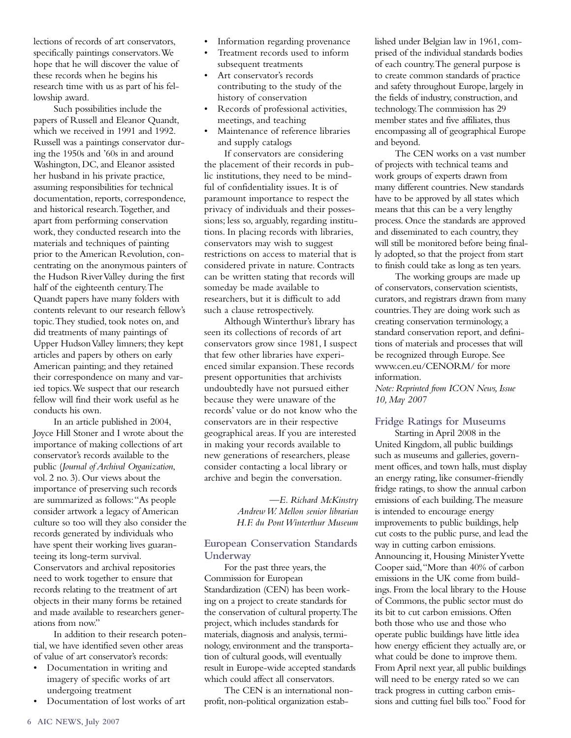lections of records of art conservators, specifically paintings conservators.We hope that he will discover the value of these records when he begins his research time with us as part of his fellowship award.

Such possibilities include the papers of Russell and Eleanor Quandt, which we received in 1991 and 1992. Russell was a paintings conservator during the 1950s and '60s in and around Washington, DC, and Eleanor assisted her husband in his private practice, assuming responsibilities for technical documentation, reports, correspondence, and historical research.Together, and apart from performing conservation work, they conducted research into the materials and techniques of painting prior to the American Revolution, concentrating on the anonymous painters of the Hudson River Valley during the first half of the eighteenth century.The Quandt papers have many folders with contents relevant to our research fellow's topic.They studied, took notes on, and did treatments of many paintings of Upper Hudson Valley limners; they kept articles and papers by others on early American painting; and they retained their correspondence on many and varied topics.We suspect that our research fellow will find their work useful as he conducts his own.

In an article published in 2004, Joyce Hill Stoner and I wrote about the importance of making collections of art conservator's records available to the public (*Journal of Archival Organization*, vol. 2 no. 3). Our views about the importance of preserving such records are summarized as follows:"As people consider artwork a legacy of American culture so too will they also consider the records generated by individuals who have spent their working lives guaranteeing its long-term survival. Conservators and archival repositories need to work together to ensure that records relating to the treatment of art objects in their many forms be retained and made available to researchers generations from now."

In addition to their research potential, we have identified seven other areas of value of art conservator's records:

- Documentation in writing and imagery of specific works of art undergoing treatment
- Documentation of lost works of art
- Information regarding provenance
- Treatment records used to inform subsequent treatments
- Art conservator's records contributing to the study of the history of conservation
- Records of professional activities, meetings, and teaching
- Maintenance of reference libraries and supply catalogs

If conservators are considering the placement of their records in public institutions, they need to be mindful of confidentiality issues. It is of paramount importance to respect the privacy of individuals and their possessions; less so, arguably, regarding institutions. In placing records with libraries, conservators may wish to suggest restrictions on access to material that is considered private in nature. Contracts can be written stating that records will someday be made available to researchers, but it is difficult to add such a clause retrospectively.

Although Winterthur's library has seen its collections of records of art conservators grow since 1981, I suspect that few other libraries have experienced similar expansion.These records present opportunities that archivists undoubtedly have not pursued either because they were unaware of the records' value or do not know who the conservators are in their respective geographical areas. If you are interested in making your records available to new generations of researchers, please consider contacting a local library or archive and begin the conversation.

> *—E. Richard McKinstry Andrew W. Mellon senior librarian H.F. du Pont Winterthur Museum*

## **European Conservation Standards Underway**

For the past three years, the Commission for European Standardization (CEN) has been working on a project to create standards for the conservation of cultural property.The project, which includes standards for materials, diagnosis and analysis, terminology, environment and the transportation of cultural goods, will eventually result in Europe-wide accepted standards which could affect all conservators.

The CEN is an international nonprofit, non-political organization established under Belgian law in 1961, comprised of the individual standards bodies of each country.The general purpose is to create common standards of practice and safety throughout Europe, largely in the fields of industry, construction, and technology.The commission has 29 member states and five affiliates, thus encompassing all of geographical Europe and beyond.

The CEN works on a vast number of projects with technical teams and work groups of experts drawn from many different countries. New standards have to be approved by all states which means that this can be a very lengthy process. Once the standards are approved and disseminated to each country, they will still be monitored before being finally adopted, so that the project from start to finish could take as long as ten years.

The working groups are made up of conservators, conservation scientists, curators, and registrars drawn from many countries.They are doing work such as creating conservation terminology, a standard conservation report, and definitions of materials and processes that will be recognized through Europe. See www.cen.eu/CENORM/ for more information.

*Note:Reprinted from ICON News, Issue 10, May 2007*

## **Fridge Ratings for Museums**

Starting in April 2008 in the United Kingdom, all public buildings such as museums and galleries, government offices, and town halls, must display an energy rating, like consumer-friendly fridge ratings, to show the annual carbon emissions of each building.The measure is intended to encourage energy improvements to public buildings, help cut costs to the public purse, and lead the way in cutting carbon emissions. Announcing it, Housing Minister Yvette Cooper said,"More than 40% of carbon emissions in the UK come from buildings. From the local library to the House of Commons, the public sector must do its bit to cut carbon emissions. Often both those who use and those who operate public buildings have little idea how energy efficient they actually are, or what could be done to improve them. From April next year, all public buildings will need to be energy rated so we can track progress in cutting carbon emissions and cutting fuel bills too." Food for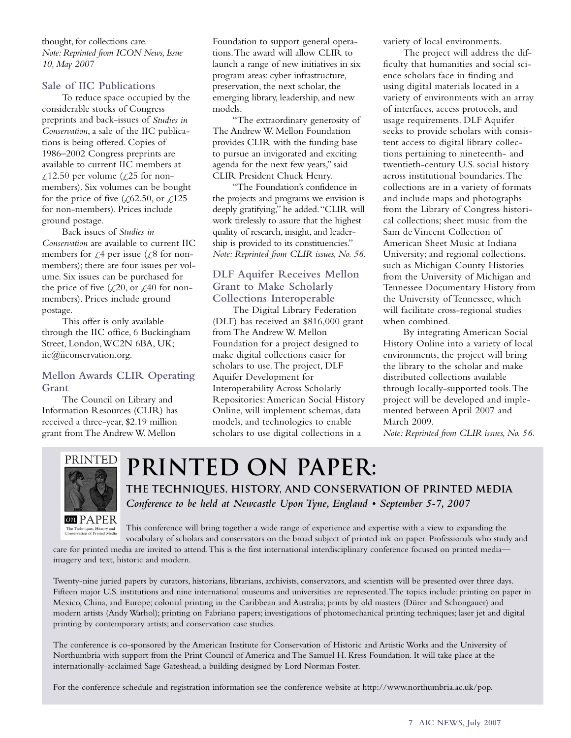thought, for collections care. *Note: Reprinted from ICON News, Issue 10, May 2007*

## **Sale of IIC Publications**

To reduce space occupied by the considerable stocks of Congress preprints and back-issues of *Studies in Conservation*, a sale of the IIC publications is being offered. Copies of 1986–2002 Congress preprints are available to current IIC members at  $\text{\textsterling}12.50$  per volume ( $\text{\textsterling}25$  for nonmembers). Six volumes can be bought for the price of five ( $\zeta$ 62.50, or  $\zeta$ 125 for non-members). Prices include ground postage.

Back issues of *Studies in Conservation* are available to current IIC members for  $\mathcal{L}^4$  per issue ( $\mathcal{L}^8$  for nonmembers); there are four issues per volume. Six issues can be purchased for the price of five  $(\mathcal{L}20)$ , or  $\mathcal{L}40$  for nonmembers). Prices include ground postage.

This offer is only available through the IIC office, 6 Buckingham Street, London,WC2N 6BA, UK; iic@iiconservation.org.

## **Mellon Awards CLIR Operating Grant**

The Council on Library and Information Resources (CLIR) has received a three-year, \$2.19 million grant from The Andrew W. Mellon

Foundation to support general operations.The award will allow CLIR to launch a range of new initiatives in six program areas: cyber infrastructure, preservation, the next scholar, the emerging library, leadership, and new models.

"The extraordinary generosity of The Andrew W. Mellon Foundation provides CLIR with the funding base to pursue an invigorated and exciting agenda for the next few years," said CLIR President Chuck Henry.

"The Foundation's confidence in the projects and programs we envision is deeply gratifying," he added."CLIR will work tirelessly to assure that the highest quality of research, insight, and leadership is provided to its constituencies." *Note: Reprinted from CLIR issues, No. 56.*

## **DLF Aquifer Receives Mellon Grant to Make Scholarly Collections Interoperable**

The Digital Library Federation (DLF) has received an \$816,000 grant from The Andrew W. Mellon Foundation for a project designed to make digital collections easier for scholars to use.The project, DLF Aquifer Development for Interoperability Across Scholarly Repositories:American Social History Online, will implement schemas, data models, and technologies to enable scholars to use digital collections in a

variety of local environments.

The project will address the difficulty that humanities and social science scholars face in finding and using digital materials located in a variety of environments with an array of interfaces, access protocols, and usage requirements. DLF Aquifer seeks to provide scholars with consistent access to digital library collections pertaining to nineteenth- and twentieth-century U.S. social history across institutional boundaries.The collections are in a variety of formats and include maps and photographs from the Library of Congress historical collections; sheet music from the Sam de Vincent Collection of American Sheet Music at Indiana University; and regional collections, such as Michigan County Histories from the University of Michigan and Tennessee Documentary History from the University of Tennessee, which will facilitate cross-regional studies when combined.

By integrating American Social History Online into a variety of local environments, the project will bring the library to the scholar and make distributed collections available through locally-supported tools.The project will be developed and implemented between April 2007 and March 2009.

*Note: Reprinted from CLIR issues, No. 56.*



## **Printed on Paper:**

**The Techniques, History, and Conservation of Printed Media** *Conference to be held at Newcastle Upon Tyne, England • September 5-7, 2007*

This conference will bring together a wide range of experience and expertise with a view to expanding the The Techniques, History and<br>Conservation of Printed Media vocabulary of scholars and conservators on the broad subject of printed ink on paper. Professionals who study and

care for printed media are invited to attend.This is the first international interdisciplinary conference focused on printed media imagery and text, historic and modern.

Twenty-nine juried papers by curators, historians, librarians, archivists, conservators, and scientists will be presented over three days. Fifteen major U.S. institutions and nine international museums and universities are represented.The topics include: printing on paper in Mexico, China, and Europe; colonial printing in the Caribbean and Australia; prints by old masters (Dürer and Schongauer) and modern artists (Andy Warhol); printing on Fabriano papers; investigations of photomechanical printing techniques; laser jet and digital printing by contemporary artists; and conservation case studies.

The conference is co-sponsored by the American Institute for Conservation of Historic and Artistic Works and the University of Northumbria with support from the Print Council of America and The Samuel H. Kress Foundation. It will take place at the internationally-acclaimed Sage Gateshead, a building designed by Lord Norman Foster.

For the conference schedule and registration information see the conference website at http://www.northumbria.ac.uk/pop.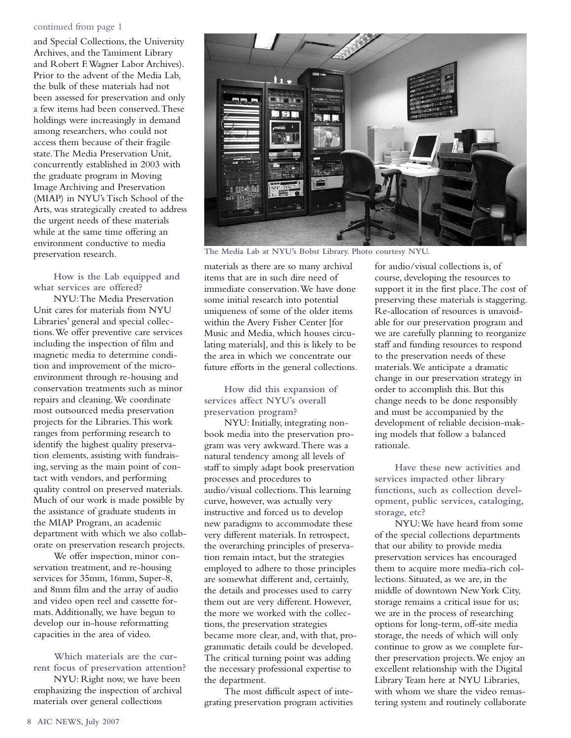#### continued from page 1

and Special Collections, the University Archives, and the Tamiment Library and Robert F.Wagner Labor Archives). Prior to the advent of the Media Lab, the bulk of these materials had not been assessed for preservation and only a few items had been conserved.These holdings were increasingly in demand among researchers, who could not access them because of their fragile state.The Media Preservation Unit, concurrently established in 2003 with the graduate program in Moving Image Archiving and Preservation (MIAP) in NYU's Tisch School of the Arts, was strategically created to address the urgent needs of these materials while at the same time offering an environment conductive to media preservation research.

**How is the Lab equipped and what services are offered?**

NYU:The Media Preservation Unit cares for materials from NYU Libraries' general and special collections.We offer preventive care services including the inspection of film and magnetic media to determine condition and improvement of the microenvironment through re-housing and conservation treatments such as minor repairs and cleaning.We coordinate most outsourced media preservation projects for the Libraries.This work ranges from performing research to identify the highest quality preservation elements, assisting with fundraising, serving as the main point of contact with vendors, and performing quality control on preserved materials. Much of our work is made possible by the assistance of graduate students in the MIAP Program, an academic department with which we also collaborate on preservation research projects.

We offer inspection, minor conservation treatment, and re-housing services for 35mm, 16mm, Super-8, and 8mm film and the array of audio and video open reel and cassette formats.Additionally, we have begun to develop our in-house reformatting capacities in the area of video.

**Which materials are the current focus of preservation attention?**

NYU: Right now, we have been emphasizing the inspection of archival materials over general collections



**The Media Lab at NYU's Bobst Library. Photo courtesy NYU.**

materials as there are so many archival items that are in such dire need of immediate conservation.We have done some initial research into potential uniqueness of some of the older items within the Avery Fisher Center [for Music and Media, which houses circulating materials], and this is likely to be the area in which we concentrate our future efforts in the general collections.

## **How did this expansion of services affect NYU's overall preservation program?**

NYU: Initially, integrating nonbook media into the preservation program was very awkward.There was a natural tendency among all levels of staff to simply adapt book preservation processes and procedures to audio/visual collections.This learning curve, however, was actually very instructive and forced us to develop new paradigms to accommodate these very different materials. In retrospect, the overarching principles of preservation remain intact, but the strategies employed to adhere to those principles are somewhat different and, certainly, the details and processes used to carry them out are very different. However, the more we worked with the collections, the preservation strategies became more clear, and, with that, programmatic details could be developed. The critical turning point was adding the necessary professional expertise to the department.

The most difficult aspect of integrating preservation program activities for audio/visual collections is, of course, developing the resources to support it in the first place.The cost of preserving these materials is staggering. Re-allocation of resources is unavoidable for our preservation program and we are carefully planning to reorganize staff and funding resources to respond to the preservation needs of these materials.We anticipate a dramatic change in our preservation strategy in order to accomplish this. But this change needs to be done responsibly and must be accompanied by the development of reliable decision-making models that follow a balanced rationale.

**Have these new activities and services impacted other library functions, such as collection development, public services, cataloging, storage, etc?** 

NYU:We have heard from some of the special collections departments that our ability to provide media preservation services has encouraged them to acquire more media-rich collections. Situated, as we are, in the middle of downtown New York City, storage remains a critical issue for us; we are in the process of researching options for long-term, off-site media storage, the needs of which will only continue to grow as we complete further preservation projects.We enjoy an excellent relationship with the Digital Library Team here at NYU Libraries, with whom we share the video remastering system and routinely collaborate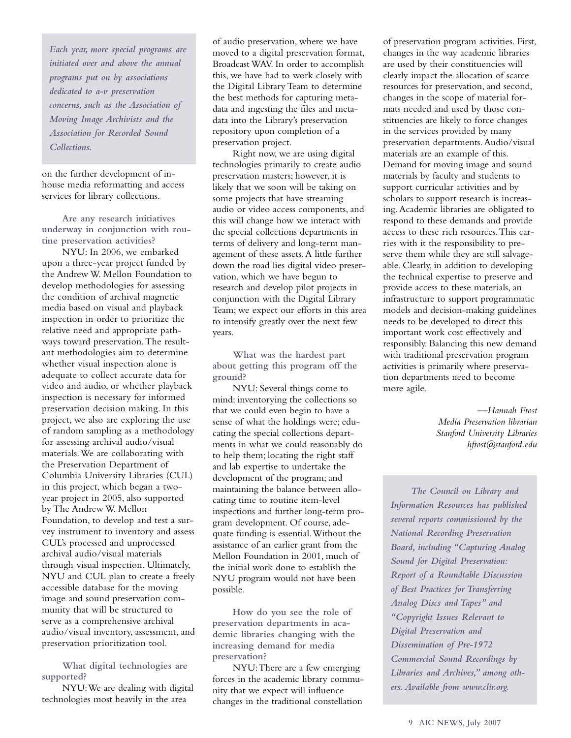*Each year, more special programs are initiated over and above the annual programs put on by associations dedicated to a-v preservation concerns, such as the Association of Moving Image Archivists and the Association for Recorded Sound Collections.*

on the further development of inhouse media reformatting and access services for library collections.

**Are any research initiatives underway in conjunction with routine preservation activities?** 

NYU: In 2006, we embarked upon a three-year project funded by the Andrew W. Mellon Foundation to develop methodologies for assessing the condition of archival magnetic media based on visual and playback inspection in order to prioritize the relative need and appropriate pathways toward preservation.The resultant methodologies aim to determine whether visual inspection alone is adequate to collect accurate data for video and audio, or whether playback inspection is necessary for informed preservation decision making. In this project, we also are exploring the use of random sampling as a methodology for assessing archival audio/visual materials.We are collaborating with the Preservation Department of Columbia University Libraries (CUL) in this project, which began a twoyear project in 2005, also supported by The Andrew W. Mellon Foundation, to develop and test a survey instrument to inventory and assess CUL's processed and unprocessed archival audio/visual materials through visual inspection. Ultimately, NYU and CUL plan to create a freely accessible database for the moving image and sound preservation community that will be structured to serve as a comprehensive archival audio/visual inventory, assessment, and preservation prioritization tool.

**What digital technologies are supported?** 

NYU:We are dealing with digital technologies most heavily in the area

of audio preservation, where we have moved to a digital preservation format, Broadcast WAV. In order to accomplish this, we have had to work closely with the Digital Library Team to determine the best methods for capturing metadata and ingesting the files and metadata into the Library's preservation repository upon completion of a preservation project.

Right now, we are using digital technologies primarily to create audio preservation masters; however, it is likely that we soon will be taking on some projects that have streaming audio or video access components, and this will change how we interact with the special collections departments in terms of delivery and long-term management of these assets.A little further down the road lies digital video preservation, which we have begun to research and develop pilot projects in conjunction with the Digital Library Team; we expect our efforts in this area to intensify greatly over the next few years.

**What was the hardest part about getting this program off the ground?**

NYU: Several things come to mind: inventorying the collections so that we could even begin to have a sense of what the holdings were; educating the special collections departments in what we could reasonably do to help them; locating the right staff and lab expertise to undertake the development of the program; and maintaining the balance between allocating time to routine item-level inspections and further long-term program development. Of course, adequate funding is essential.Without the assistance of an earlier grant from the Mellon Foundation in 2001, much of the initial work done to establish the NYU program would not have been possible.

**How do you see the role of preservation departments in academic libraries changing with the increasing demand for media preservation?** 

NYU:There are a few emerging forces in the academic library community that we expect will influence changes in the traditional constellation

of preservation program activities. First, changes in the way academic libraries are used by their constituencies will clearly impact the allocation of scarce resources for preservation, and second, changes in the scope of material formats needed and used by those constituencies are likely to force changes in the services provided by many preservation departments.Audio/visual materials are an example of this. Demand for moving image and sound materials by faculty and students to support curricular activities and by scholars to support research is increasing.Academic libraries are obligated to respond to these demands and provide access to these rich resources.This carries with it the responsibility to preserve them while they are still salvageable. Clearly, in addition to developing the technical expertise to preserve and provide access to these materials, an infrastructure to support programmatic models and decision-making guidelines needs to be developed to direct this important work cost effectively and responsibly. Balancing this new demand with traditional preservation program activities is primarily where preservation departments need to become more agile.

> *—Hannah Frost Media Preservation librarian Stanford University Libraries hfrost@stanford.edu*

*The Council on Library and Information Resources has published several reports commissioned by the National Recording Preservation Board, including "Capturing Analog Sound for Digital Preservation: Report of a Roundtable Discussion of Best Practices for Transferring Analog Discs and Tapes" and "Copyright Issues Relevant to Digital Preservation and Dissemination of Pre-1972 Commercial Sound Recordings by Libraries and Archives," among others. Available from www.clir.org.*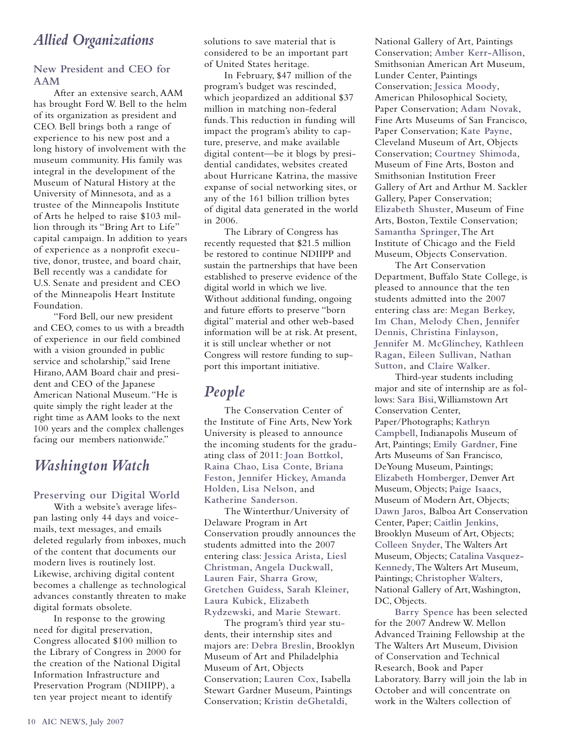## *Allied Organizations*

## **New President and CEO for AAM**

After an extensive search, AAM has brought Ford W. Bell to the helm of its organization as president and CEO. Bell brings both a range of experience to his new post and a long history of involvement with the museum community. His family was integral in the development of the Museum of Natural History at the University of Minnesota, and as a trustee of the Minneapolis Institute of Arts he helped to raise \$103 million through its "Bring Art to Life" capital campaign. In addition to years of experience as a nonprofit executive, donor, trustee, and board chair, Bell recently was a candidate for U.S. Senate and president and CEO of the Minneapolis Heart Institute Foundation.

"Ford Bell, our new president and CEO, comes to us with a breadth of experience in our field combined with a vision grounded in public service and scholarship," said Irene Hirano, AAM Board chair and president and CEO of the Japanese American National Museum."He is quite simply the right leader at the right time as AAM looks to the next 100 years and the complex challenges facing our members nationwide."

## *Washington Watch*

## **Preserving our Digital World**

With a website's average lifespan lasting only 44 days and voicemails, text messages, and emails deleted regularly from inboxes, much of the content that documents our modern lives is routinely lost. Likewise, archiving digital content becomes a challenge as technological advances constantly threaten to make digital formats obsolete.

In response to the growing need for digital preservation, Congress allocated \$100 million to the Library of Congress in 2000 for the creation of the National Digital Information Infrastructure and Preservation Program (NDIIPP), a ten year project meant to identify

solutions to save material that is considered to be an important part of United States heritage.

In February, \$47 million of the program's budget was rescinded, which jeopardized an additional \$37 million in matching non-federal funds.This reduction in funding will impact the program's ability to capture, preserve, and make available digital content—be it blogs by presidential candidates, websites created about Hurricane Katrina, the massive expanse of social networking sites, or any of the 161 billion trillion bytes of digital data generated in the world in 2006.

The Library of Congress has recently requested that \$21.5 million be restored to continue NDIIPP and sustain the partnerships that have been established to preserve evidence of the digital world in which we live. Without additional funding, ongoing and future efforts to preserve "born digital" material and other web-based information will be at risk. At present, it is still unclear whether or not Congress will restore funding to support this important initiative.

## *People*

The Conservation Center of the Institute of Fine Arts, New York University is pleased to announce the incoming students for the graduating class of 2011: **Joan Bottkol, Raina Chao, Lisa Conte, Briana Feston, Jennifer Hickey, Amanda Holden, Lisa Nelson,** and **Katherine Sanderson**.

The Winterthur/University of Delaware Program in Art Conservation proudly announces the students admitted into the 2007 entering class: **Jessica Arista, Liesl Christman, Angela Duckwall, Lauren Fair, Sharra Grow, Gretchen Guidess, Sarah Kleiner, Laura Kubick, Elizabeth Rydzewski,** and **Marie Stewart.**

The program's third year students, their internship sites and majors are: **Debra Breslin**, Brooklyn Museum of Art and Philadelphia Museum of Art, Objects Conservation; **Lauren Cox**, Isabella Stewart Gardner Museum, Paintings Conservation; **Kristin deGhetaldi**,

National Gallery of Art, Paintings Conservation; **Amber Kerr-Allison**, Smithsonian American Art Museum, Lunder Center, Paintings Conservation; **Jessica Moody**, American Philosophical Society, Paper Conservation; **Adam Novak**, Fine Arts Museums of San Francisco, Paper Conservation; **Kate Payne**, Cleveland Museum of Art, Objects Conservation; **Courtney Shimoda**, Museum of Fine Arts, Boston and Smithsonian Institution Freer Gallery of Art and Arthur M. Sackler Gallery, Paper Conservation; **Elizabeth Shuster**, Museum of Fine Arts, Boston,Textile Conservation; **Samantha Springer**,The Art Institute of Chicago and the Field Museum, Objects Conservation.

The Art Conservation Department, Buffalo State College, is pleased to announce that the ten students admitted into the 2007 entering class are: **Megan Berkey, Im Chan, Melody Chen, Jennifer Dennis, Christina Finlayson, Jennifer M. McGlinchey, Kathleen Ragan, Eileen Sullivan, Nathan Sutton,** and **Claire Walker**.

Third-year students including major and site of internship are as follows: **Sara Bisi**,Williamstown Art Conservation Center, Paper/Photographs; **Kathryn Campbell**, Indianapolis Museum of Art, Paintings; **Emily Gardner**, Fine Arts Museums of San Francisco, DeYoung Museum, Paintings; **Elizabeth Homberger**, Denver Art Museum, Objects; **Paige Isaacs**, Museum of Modern Art, Objects; **Dawn Jaros,** Balboa Art Conservation Center, Paper; **Caitlin Jenkins,** Brooklyn Museum of Art, Objects; **Colleen Snyder,** The Walters Art Museum, Objects; **Catalina Vasquez-Kennedy**,The Walters Art Museum, Paintings; **Christopher Walters**, National Gallery of Art,Washington, DC, Objects.

**Barry Spence** has been selected for the 2007 Andrew W. Mellon Advanced Training Fellowship at the The Walters Art Museum, Division of Conservation and Technical Research, Book and Paper Laboratory. Barry will join the lab in October and will concentrate on work in the Walters collection of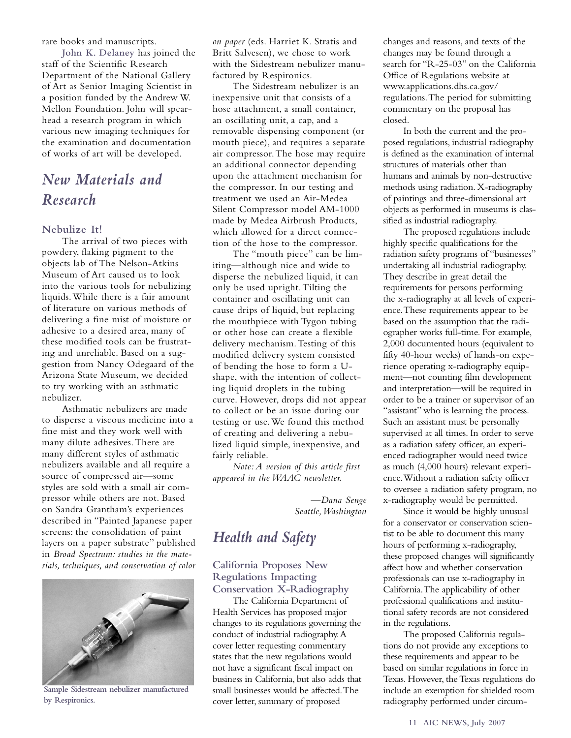rare books and manuscripts.

**John K. Delaney** has joined the staff of the Scientific Research Department of the National Gallery of Art as Senior Imaging Scientist in a position funded by the Andrew W. Mellon Foundation. John will spearhead a research program in which various new imaging techniques for the examination and documentation of works of art will be developed.

## *New Materials and Research*

#### **Nebulize It!**

The arrival of two pieces with powdery, flaking pigment to the objects lab of The Nelson-Atkins Museum of Art caused us to look into the various tools for nebulizing liquids.While there is a fair amount of literature on various methods of delivering a fine mist of moisture or adhesive to a desired area, many of these modified tools can be frustrating and unreliable. Based on a suggestion from Nancy Odegaard of the Arizona State Museum, we decided to try working with an asthmatic nebulizer.

Asthmatic nebulizers are made to disperse a viscous medicine into a fine mist and they work well with many dilute adhesives.There are many different styles of asthmatic nebulizers available and all require a source of compressed air—some styles are sold with a small air compressor while others are not. Based on Sandra Grantham's experiences described in "Painted Japanese paper screens: the consolidation of paint layers on a paper substrate" published in *Broad Spectrum: studies in the materials, techniques, and conservation of color*



**Sample Sidestream nebulizer manufactured by Respironics.**

*on paper* (eds. Harriet K. Stratis and Britt Salvesen), we chose to work with the Sidestream nebulizer manufactured by Respironics.

The Sidestream nebulizer is an inexpensive unit that consists of a hose attachment, a small container, an oscillating unit, a cap, and a removable dispensing component (or mouth piece), and requires a separate air compressor.The hose may require an additional connector depending upon the attachment mechanism for the compressor. In our testing and treatment we used an Air-Medea Silent Compressor model AM-1000 made by Medea Airbrush Products, which allowed for a direct connection of the hose to the compressor.

The "mouth piece" can be limiting—although nice and wide to disperse the nebulized liquid, it can only be used upright.Tilting the container and oscillating unit can cause drips of liquid, but replacing the mouthpiece with Tygon tubing or other hose can create a flexible delivery mechanism.Testing of this modified delivery system consisted of bending the hose to form a Ushape, with the intention of collecting liquid droplets in the tubing curve. However, drops did not appear to collect or be an issue during our testing or use.We found this method of creating and delivering a nebulized liquid simple, inexpensive, and fairly reliable.

*Note: A version of this article first appeared in the WAAC newsletter.*

> *—Dana Senge Seattle,Washington*

## *Health and Safety*

**California Proposes New Regulations Impacting Conservation X-Radiography**

The California Department of Health Services has proposed major changes to its regulations governing the conduct of industrial radiography.A cover letter requesting commentary states that the new regulations would not have a significant fiscal impact on business in California, but also adds that small businesses would be affected.The cover letter, summary of proposed

changes and reasons, and texts of the changes may be found through a search for "R-25-03" on the California Office of Regulations website at www.applications.dhs.ca.gov/ regulations.The period for submitting commentary on the proposal has closed.

In both the current and the proposed regulations, industrial radiography is defined as the examination of internal structures of materials other than humans and animals by non-destructive methods using radiation. X-radiography of paintings and three-dimensional art objects as performed in museums is classified as industrial radiography.

The proposed regulations include highly specific qualifications for the radiation safety programs of "businesses" undertaking all industrial radiography. They describe in great detail the requirements for persons performing the x-radiography at all levels of experience.These requirements appear to be based on the assumption that the radiographer works full-time. For example, 2,000 documented hours (equivalent to fifty 40-hour weeks) of hands-on experience operating x-radiography equipment—not counting film development and interpretation—will be required in order to be a trainer or supervisor of an "assistant" who is learning the process. Such an assistant must be personally supervised at all times. In order to serve as a radiation safety officer,an experienced radiographer would need twice as much (4,000 hours) relevant experience.Without a radiation safety officer to oversee a radiation safety program, no x-radiography would be permitted.

Since it would be highly unusual for a conservator or conservation scientist to be able to document this many hours of performing x-radiography, these proposed changes will significantly affect how and whether conservation professionals can use x-radiography in California.The applicability of other professional qualifications and institutional safety records are not considered in the regulations.

The proposed California regulations do not provide any exceptions to these requirements and appear to be based on similar regulations in force in Texas. However, the Texas regulations do include an exemption for shielded room radiography performed under circum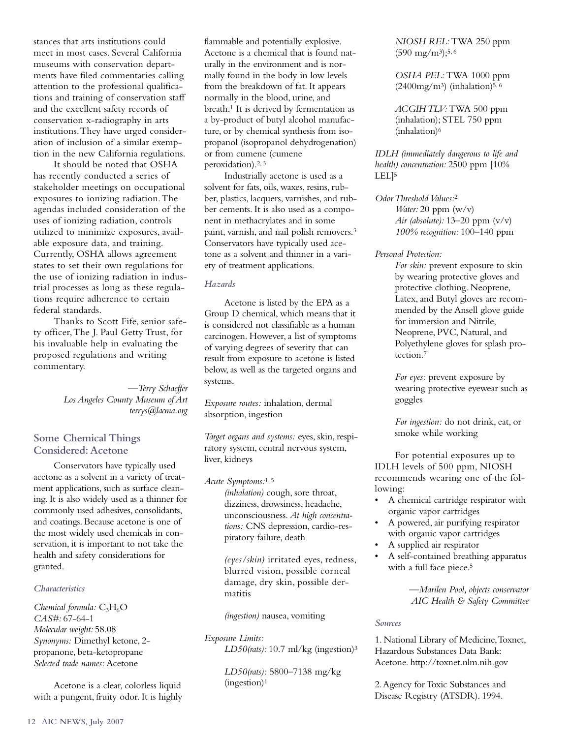stances that arts institutions could meet in most cases. Several California museums with conservation departments have filed commentaries calling attention to the professional qualifications and training of conservation staff and the excellent safety records of conservation x-radiography in arts institutions.They have urged consideration of inclusion of a similar exemption in the new California regulations.

It should be noted that OSHA has recently conducted a series of stakeholder meetings on occupational exposures to ionizing radiation.The agendas included consideration of the uses of ionizing radiation, controls utilized to minimize exposures, available exposure data, and training. Currently, OSHA allows agreement states to set their own regulations for the use of ionizing radiation in industrial processes as long as these regulations require adherence to certain federal standards.

Thanks to Scott Fife, senior safety officer,The J. Paul Getty Trust, for his invaluable help in evaluating the proposed regulations and writing commentary.

> *—Terry Schaeffer Los Angeles County Museum of Art terrys@lacma.org*

## **Some Chemical Things Considered:Acetone**

Conservators have typically used acetone as a solvent in a variety of treatment applications, such as surface cleaning. It is also widely used as a thinner for commonly used adhesives, consolidants, and coatings. Because acetone is one of the most widely used chemicals in conservation, it is important to not take the health and safety considerations for granted.

### *Characteristics*

*Chemical formula:*  $C_3H_6O$ *CAS#:* 67-64-1 *Molecular weight:* 58.08 *Synonyms:* Dimethyl ketone, 2 propanone, beta-ketopropane *Selected trade names:* Acetone

Acetone is a clear, colorless liquid with a pungent, fruity odor. It is highly

flammable and potentially explosive. Acetone is a chemical that is found naturally in the environment and is normally found in the body in low levels from the breakdown of fat. It appears normally in the blood, urine, and breath.1 It is derived by fermentation as a by-product of butyl alcohol manufacture, or by chemical synthesis from isopropanol (isopropanol dehydrogenation) or from cumene (cumene peroxidation).2, 3

Industrially acetone is used as a solvent for fats, oils, waxes, resins, rubber, plastics, lacquers, varnishes, and rubber cements. It is also used as a component in methacrylates and in some paint, varnish, and nail polish removers.3 Conservators have typically used acetone as a solvent and thinner in a variety of treatment applications.

#### *Hazards*

Acetone is listed by the EPA as a Group D chemical, which means that it is considered not classifiable as a human carcinogen. However, a list of symptoms of varying degrees of severity that can result from exposure to acetone is listed below, as well as the targeted organs and systems.

*Exposure routes:* inhalation, dermal absorption, ingestion

*Target organs and systems:* eyes, skin, respiratory system, central nervous system, liver, kidneys

*Acute Symptoms:*1, 5 *(inhalation)* cough, sore throat, dizziness, drowsiness, headache, unconsciousness. *At high concentrations:* CNS depression, cardio-respiratory failure, death

> *(eyes/skin)* irritated eyes, redness, blurred vision, possible corneal damage, dry skin, possible dermatitis

*(ingestion)* nausea, vomiting

#### *Exposure Limits:*

*LD50(rats):* 10.7 ml/kg (ingestion)3

*LD50(rats):* 5800–7138 mg/kg (ingestion)1

*NIOSH REL:*TWA 250 ppm  $(590 \text{ mg/m}^3);$ <sup>5,6</sup>

*OSHA PEL:* TWA 1000 ppm  $(2400mg/m<sup>3</sup>)$  (inhalation)<sup>5, 6</sup>

*ACGIH TLV:*TWA 500 ppm (inhalation); STEL 750 ppm (inhalation)6

*IDLH (immediately dangerous to life and health) concentration:* 2500 ppm [10% LEL]5

- *Odor Threshold Values:*<sup>2</sup> *Water:* 20 ppm (w/v) *Air (absolute):* 13–20 ppm (v/v) *100% recognition:* 100–140 ppm
- *Personal Protection:*

*For skin:* prevent exposure to skin by wearing protective gloves and protective clothing. Neoprene, Latex, and Butyl gloves are recommended by the Ansell glove guide for immersion and Nitrile, Neoprene, PVC, Natural, and Polyethylene gloves for splash protection.7

*For eyes:* prevent exposure by wearing protective eyewear such as goggles

*For ingestion:* do not drink, eat, or smoke while working

For potential exposures up to IDLH levels of 500 ppm, NIOSH recommends wearing one of the following:

- A chemical cartridge respirator with organic vapor cartridges
- A powered, air purifying respirator with organic vapor cartridges
- A supplied air respirator
- A self-contained breathing apparatus with a full face piece.<sup>5</sup>

*—Marilen Pool, objects conservator AIC Health & Safety Committee*

#### *Sources*

1. National Library of Medicine,Toxnet, Hazardous Substances Data Bank: Acetone. http://toxnet.nlm.nih.gov

2.Agency for Toxic Substances and Disease Registry (ATSDR). 1994.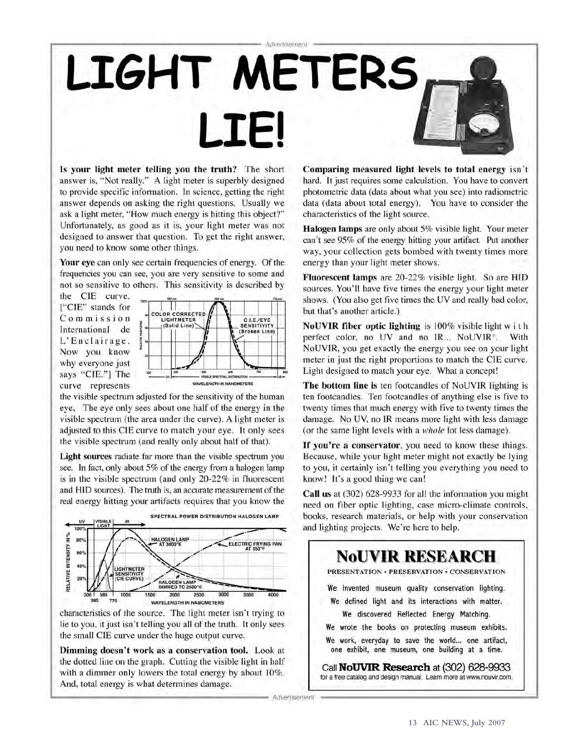# Advertisement LIGHT METERS **LIE!**

Is your light meter telling you the truth? The short answer is, "Not really." A light meter is superbly designed to provide specific information. In science, getting the right answer depends on asking the right questions. Usually we ask a light meter, "How much energy is hitting this object?" Unfortunately, as good as it is, your light meter was not designed to answer that question. To get the right answer, you need to know some other things.

Your eye can only see certain frequencies of energy. Of the frequencies you can see, you are very sensitive to some and not so sensitive to others. This sensitivity is described by

the CIE curve. ["CIE" stands for Commission International de L'Enclairage. Now you know why everyone just says "CIE."] The curve represents



the visible spectrum adjusted for the sensitivity of the human eye, The eye only sees about one half of the energy in the visible spectrum (the area under the curve). A light meter is adjusted to this CIE curve to match your eye. It only sees the visible spectrum (and really only about half of that).

Light sources radiate far more than the visible spectrum you see. In fact, only about 5% of the energy from a halogen lamp is in the visible spectrum (and only 20-22% in fluorescent and HID sources). The truth is, an accurate measurement of the real energy hitting your artifacts requires that you know the



characteristics of the source. The light meter isn't trying to lie to you, it just isn't telling you all of the truth. It only sees the small CIE curve under the huge output curve.

Dimming doesn't work as a conservation tool. Look at the dotted line on the graph. Cutting the visible light in half with a dimmer only lowers the total energy by about 10%. And, total energy is what determines damage.

Comparing measured light levels to total energy isn't hard. It just requires some calculation. You have to convert photometric data (data about what you see) into radiometric data (data about total energy). You have to consider the characteristics of the light source.

**Halogen lamps** are only about 5% visible light. Your meter can't see 95% of the energy hitting your artifact. Put another way, your collection gets bombed with twenty times more energy than your light meter shows.

Fluorescent lamps are 20-22% visible light. So are HID sources. You'll have five times the energy your light meter shows. (You also get five times the UV and really bad color, but that's another article.)

NoUVIR fiber optic lighting is 100% visible light with perfect color, no UV and no IR... NoUVIR<sup>®</sup>. With NoUVIR, you get exactly the energy you see on your light meter in just the right proportions to match the CIE curve. Light designed to match your eye. What a concept!

The bottom line is ten footcandles of NoUVIR lighting is ten footcandles. Ten footcandles of anything else is five to twenty times that much energy with five to twenty times the damage. No UV, no IR means more light with less damage (or the same light levels with a *whole* lot less damage).

If you're a conservator, you need to know these things. Because, while your light meter might not exactly be lying to you, it certainly isn't telling you everything you need to know! It's a good thing we can!

Call us at (302) 628-9933 for all the information you might need on fiber optic lighting, case micro-climate controls, books, research materials, or help with your conservation and lighting projects. We're here to help.



- Advertisement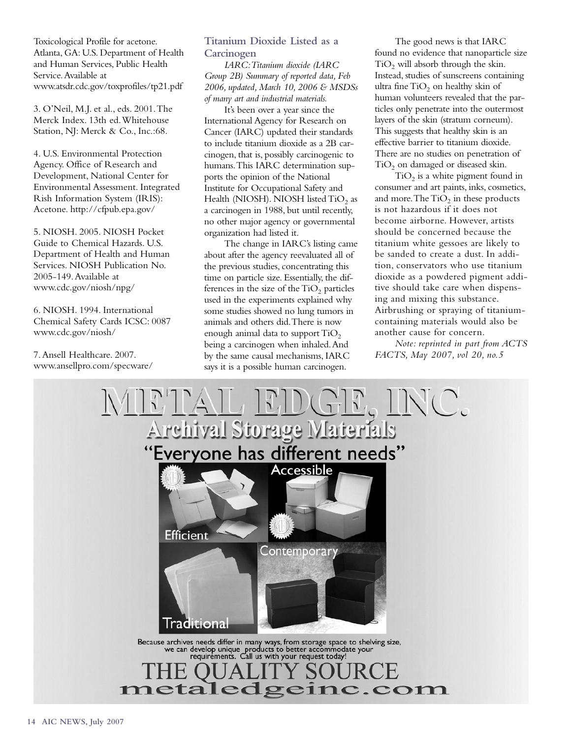Toxicological Profile for acetone. Atlanta, GA: U.S. Department of Health and Human Services, Public Health Service.Available at www.atsdr.cdc.gov/toxprofiles/tp21.pdf

3. O'Neil, M.J. et al., eds. 2001.The Merck Index. 13th ed.Whitehouse Station, NJ: Merck & Co., Inc.:68.

4. U.S. Environmental Protection Agency. Office of Research and Development, National Center for Environmental Assessment. Integrated Rish Information System (IRIS): Acetone. http://cfpub.epa.gov/

5. NIOSH. 2005. NIOSH Pocket Guide to Chemical Hazards. U.S. Department of Health and Human Services. NIOSH Publication No. 2005-149.Available at www.cdc.gov/niosh/npg/

6. NIOSH. 1994. International Chemical Safety Cards ICSC: 0087 www.cdc.gov/niosh/

7.Ansell Healthcare. 2007. www.ansellpro.com/specware/

## **Titanium Dioxide Listed as a Carcinogen**

*IARC:Titanium dioxide (IARC Group 2B) Summary of reported data, Feb 2006, updated, March 10, 2006 & MSDSs of many art and industrial materials.*

It's been over a year since the International Agency for Research on Cancer (IARC) updated their standards to include titanium dioxide as a 2B carcinogen, that is, possibly carcinogenic to humans.This IARC determination supports the opinion of the National Institute for Occupational Safety and Health (NIOSH). NIOSH listed TiO<sub>2</sub> as a carcinogen in 1988, but until recently, no other major agency or governmental organization had listed it.

The change in IARC's listing came about after the agency reevaluated all of the previous studies, concentrating this time on particle size. Essentially, the differences in the size of the  $TiO<sub>2</sub>$  particles used in the experiments explained why some studies showed no lung tumors in animals and others did.There is now enough animal data to support  $TiO<sub>2</sub>$ being a carcinogen when inhaled.And by the same causal mechanisms, IARC says it is a possible human carcinogen.

The good news is that IARC found no evidence that nanoparticle size  $TiO<sub>2</sub>$  will absorb through the skin. Instead, studies of sunscreens containing ultra fine  $TiO<sub>2</sub>$  on healthy skin of human volunteers revealed that the particles only penetrate into the outermost layers of the skin (stratum corneum). This suggests that healthy skin is an effective barrier to titanium dioxide. There are no studies on penetration of  $TiO<sub>2</sub>$  on damaged or diseased skin.

 $TiO<sub>2</sub>$  is a white pigment found in consumer and art paints, inks, cosmetics, and more. The  $TiO<sub>2</sub>$  in these products is not hazardous if it does not become airborne. However, artists should be concerned because the titanium white gessoes are likely to be sanded to create a dust. In addition, conservators who use titanium dioxide as a powdered pigment additive should take care when dispensing and mixing this substance. Airbrushing or spraying of titaniumcontaining materials would also be another cause for concern.

*Note: reprinted in part from ACTS FACTS, May 2007, vol 20, no.5* 

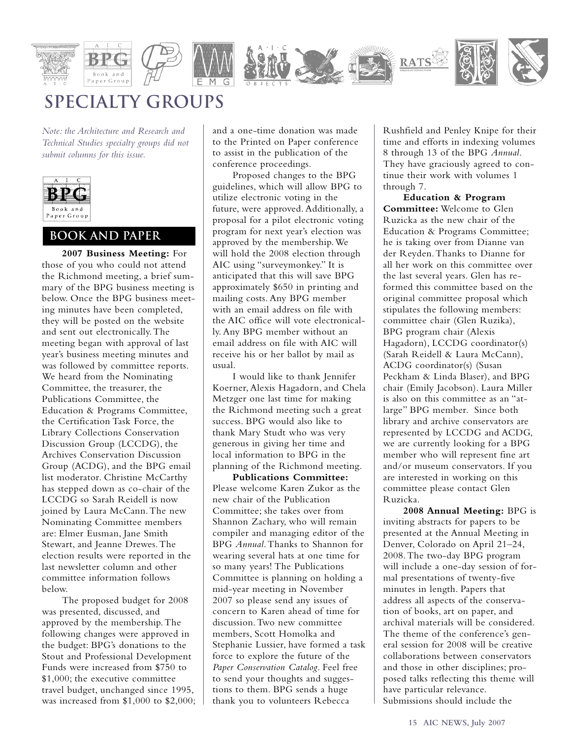

## **Specialty Groups**

*Note: the Architecture and Research and Technical Studies specialty groups did not submit columns for this issue.*



## **book and paper**

**2007 Business Meeting:** For those of you who could not attend the Richmond meeting, a brief summary of the BPG business meeting is below. Once the BPG business meeting minutes have been completed, they will be posted on the website and sent out electronically.The meeting began with approval of last year's business meeting minutes and was followed by committee reports. We heard from the Nominating Committee, the treasurer, the Publications Committee, the Education & Programs Committee, the Certification Task Force, the Library Collections Conservation Discussion Group (LCCDG), the Archives Conservation Discussion Group (ACDG), and the BPG email list moderator. Christine McCarthy has stepped down as co-chair of the LCCDG so Sarah Reidell is now joined by Laura McCann.The new Nominating Committee members are: Elmer Eusman, Jane Smith Stewart, and Jeanne Drewes.The election results were reported in the last newsletter column and other committee information follows below.

The proposed budget for 2008 was presented, discussed, and approved by the membership.The following changes were approved in the budget: BPG's donations to the Stout and Professional Development Funds were increased from \$750 to \$1,000; the executive committee travel budget, unchanged since 1995, was increased from \$1,000 to \$2,000; and a one-time donation was made to the Printed on Paper conference to assist in the publication of the conference proceedings.

Proposed changes to the BPG guidelines, which will allow BPG to utilize electronic voting in the future, were approved. Additionally, a proposal for a pilot electronic voting program for next year's election was approved by the membership.We will hold the 2008 election through AIC using "surveymonkey." It is anticipated that this will save BPG approximately \$650 in printing and mailing costs. Any BPG member with an email address on file with the AIC office will vote electronically. Any BPG member without an email address on file with AIC will receive his or her ballot by mail as usual.

I would like to thank Jennifer Koerner, Alexis Hagadorn, and Chela Metzger one last time for making the Richmond meeting such a great success. BPG would also like to thank Mary Studt who was very generous in giving her time and local information to BPG in the planning of the Richmond meeting.

**Publications Committee:** Please welcome Karen Zukor as the new chair of the Publication Committee; she takes over from Shannon Zachary, who will remain compiler and managing editor of the BPG *Annual*.Thanks to Shannon for wearing several hats at one time for so many years! The Publications Committee is planning on holding a mid-year meeting in November 2007 so please send any issues of concern to Karen ahead of time for discussion.Two new committee members, Scott Homolka and Stephanie Lussier, have formed a task force to explore the future of the *Paper Conservation Catalog*. Feel free to send your thoughts and suggestions to them. BPG sends a huge thank you to volunteers Rebecca

Rushfield and Penley Knipe for their time and efforts in indexing volumes 8 through 13 of the BPG *Annual*. They have graciously agreed to continue their work with volumes 1 through 7.

**Education & Program Committee:** Welcome to Glen Ruzicka as the new chair of the Education & Programs Committee; he is taking over from Dianne van der Reyden.Thanks to Dianne for all her work on this committee over the last several years. Glen has reformed this committee based on the original committee proposal which stipulates the following members: committee chair (Glen Ruzika), BPG program chair (Alexis Hagadorn), LCCDG coordinator(s) (Sarah Reidell & Laura McCann), ACDG coordinator(s) (Susan Peckham & Linda Blaser), and BPG chair (Emily Jacobson). Laura Miller is also on this committee as an "atlarge" BPG member. Since both library and archive conservators are represented by LCCDG and ACDG, we are currently looking for a BPG member who will represent fine art and/or museum conservators. If you are interested in working on this committee please contact Glen Ruzicka.

**2008 Annual Meeting:** BPG is inviting abstracts for papers to be presented at the Annual Meeting in Denver, Colorado on April 21–24, 2008.The two-day BPG program will include a one-day session of formal presentations of twenty-five minutes in length. Papers that address all aspects of the conservation of books, art on paper, and archival materials will be considered. The theme of the conference's general session for 2008 will be creative collaborations between conservators and those in other disciplines; proposed talks reflecting this theme will have particular relevance. Submissions should include the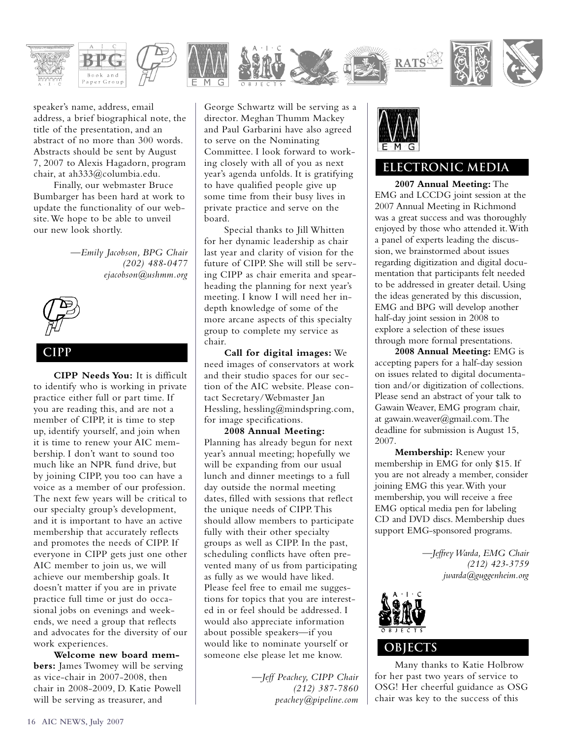

speaker's name, address, email address, a brief biographical note, the title of the presentation, and an abstract of no more than 300 words. Abstracts should be sent by August 7, 2007 to Alexis Hagadorn, program chair, at ah333@columbia.edu.

Finally, our webmaster Bruce Bumbarger has been hard at work to update the functionality of our website.We hope to be able to unveil our new look shortly.

> *—Emily Jacobson, BPG Chair (202) 488-0477 ejacobson@ushmm.org*



## **cipp**

**CIPP Needs You:** It is difficult to identify who is working in private practice either full or part time. If you are reading this, and are not a member of CIPP, it is time to step up, identify yourself, and join when it is time to renew your AIC membership. I don't want to sound too much like an NPR fund drive, but by joining CIPP, you too can have a voice as a member of our profession. The next few years will be critical to our specialty group's development, and it is important to have an active membership that accurately reflects and promotes the needs of CIPP. If everyone in CIPP gets just one other AIC member to join us, we will achieve our membership goals. It doesn't matter if you are in private practice full time or just do occasional jobs on evenings and weekends, we need a group that reflects and advocates for the diversity of our work experiences.

**Welcome new board members:** James Twomey will be serving as vice-chair in 2007-2008, then chair in 2008-2009, D. Katie Powell will be serving as treasurer, and

George Schwartz will be serving as a director. Meghan Thumm Mackey and Paul Garbarini have also agreed to serve on the Nominating Committee. I look forward to working closely with all of you as next year's agenda unfolds. It is gratifying to have qualified people give up some time from their busy lives in private practice and serve on the board.

Special thanks to Jill Whitten for her dynamic leadership as chair last year and clarity of vision for the future of CIPP. She will still be serving CIPP as chair emerita and spearheading the planning for next year's meeting. I know I will need her indepth knowledge of some of the more arcane aspects of this specialty group to complete my service as chair.

**Call for digital images:** We need images of conservators at work and their studio spaces for our section of the AIC website. Please contact Secretary/Webmaster Jan Hessling, hessling@mindspring.com, for image specifications.

**2008 Annual Meeting:** Planning has already begun for next year's annual meeting; hopefully we will be expanding from our usual lunch and dinner meetings to a full day outside the normal meeting dates, filled with sessions that reflect the unique needs of CIPP.This should allow members to participate fully with their other specialty groups as well as CIPP. In the past, scheduling conflicts have often prevented many of us from participating as fully as we would have liked. Please feel free to email me suggestions for topics that you are interested in or feel should be addressed. I would also appreciate information about possible speakers—if you would like to nominate yourself or someone else please let me know.

> *—Jeff Peachey, CIPP Chair (212) 387-7860 peachey@pipeline.com*



## **electronic media**

**2007 Annual Meeting:** The EMG and LCCDG joint session at the 2007 Annual Meeting in Richmond was a great success and was thoroughly enjoyed by those who attended it.With a panel of experts leading the discussion, we brainstormed about issues regarding digitization and digital documentation that participants felt needed to be addressed in greater detail. Using the ideas generated by this discussion, EMG and BPG will develop another half-day joint session in 2008 to explore a selection of these issues through more formal presentations.

**2008 Annual Meeting:** EMG is accepting papers for a half-day session on issues related to digital documentation and/or digitization of collections. Please send an abstract of your talk to Gawain Weaver, EMG program chair, at gawain.weaver@gmail.com.The deadline for submission is August 15, 2007.

**Membership:** Renew your membership in EMG for only \$15. If you are not already a member, consider joining EMG this year.With your membership, you will receive a free EMG optical media pen for labeling CD and DVD discs. Membership dues support EMG-sponsored programs.

> *—Jeffrey Warda, EMG Chair (212) 423-3759 jwarda@guggenheim.org*



## **objects**

Many thanks to Katie Holbrow for her past two years of service to OSG! Her cheerful guidance as OSG chair was key to the success of this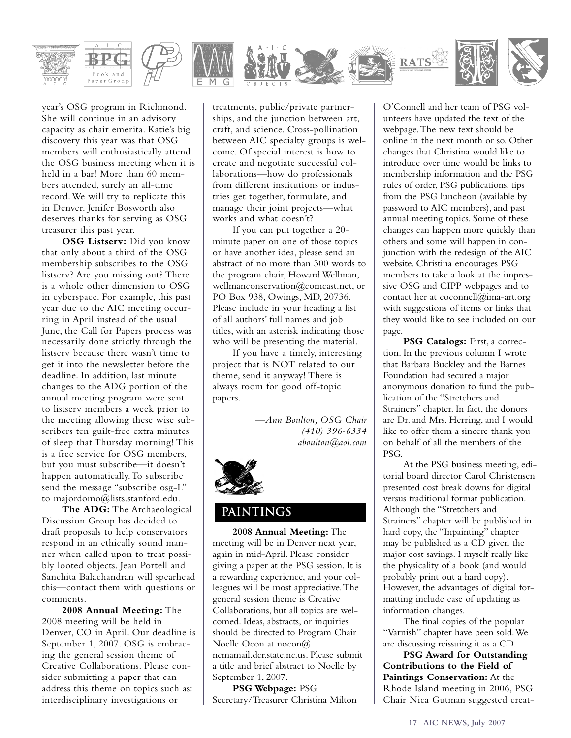

year's OSG program in Richmond. She will continue in an advisory capacity as chair emerita. Katie's big discovery this year was that OSG members will enthusiastically attend the OSG business meeting when it is held in a bar! More than 60 members attended, surely an all-time record.We will try to replicate this in Denver. Jenifer Bosworth also deserves thanks for serving as OSG treasurer this past year.

**OSG Listserv:** Did you know that only about a third of the OSG membership subscribes to the OSG listserv? Are you missing out? There is a whole other dimension to OSG in cyberspace. For example, this past year due to the AIC meeting occurring in April instead of the usual June, the Call for Papers process was necessarily done strictly through the listserv because there wasn't time to get it into the newsletter before the deadline. In addition, last minute changes to the ADG portion of the annual meeting program were sent to listserv members a week prior to the meeting allowing these wise subscribers ten guilt-free extra minutes of sleep that Thursday morning! This is a free service for OSG members, but you must subscribe—it doesn't happen automatically.To subscribe send the message "subscribe osg-L" to majordomo@lists.stanford.edu.

**The ADG:** The Archaeological Discussion Group has decided to draft proposals to help conservators respond in an ethically sound manner when called upon to treat possibly looted objects. Jean Portell and Sanchita Balachandran will spearhead this—contact them with questions or comments.

**2008 Annual Meeting:** The 2008 meeting will be held in Denver, CO in April. Our deadline is September 1, 2007. OSG is embracing the general session theme of Creative Collaborations. Please consider submitting a paper that can address this theme on topics such as: interdisciplinary investigations or

treatments, public/private partnerships, and the junction between art, craft, and science. Cross-pollination between AIC specialty groups is welcome. Of special interest is how to create and negotiate successful collaborations—how do professionals from different institutions or industries get together, formulate, and manage their joint projects—what works and what doesn't?

If you can put together a 20 minute paper on one of those topics or have another idea, please send an abstract of no more than 300 words to the program chair, Howard Wellman, wellmanconservation@comcast.net, or PO Box 938, Owings, MD, 20736. Please include in your heading a list of all authors' full names and job titles, with an asterisk indicating those who will be presenting the material.

If you have a timely, interesting project that is NOT related to our theme, send it anyway! There is always room for good off-topic papers.

> *—Ann Boulton, OSG Chair (410) 396-6334 aboulton@aol.com*



## **paintings**

**2008 Annual Meeting:** The meeting will be in Denver next year, again in mid-April. Please consider giving a paper at the PSG session. It is a rewarding experience, and your colleagues will be most appreciative.The general session theme is Creative Collaborations, but all topics are welcomed. Ideas, abstracts, or inquiries should be directed to Program Chair Noelle Ocon at nocon@ ncmamail.dcr.state.nc.us. Please submit a title and brief abstract to Noelle by September 1, 2007.

**PSG Webpage:** PSG Secretary/Treasurer Christina Milton O'Connell and her team of PSG volunteers have updated the text of the webpage.The new text should be online in the next month or so. Other changes that Christina would like to introduce over time would be links to membership information and the PSG rules of order, PSG publications, tips from the PSG luncheon (available by password to AIC members), and past annual meeting topics. Some of these changes can happen more quickly than others and some will happen in conjunction with the redesign of the AIC website. Christina encourages PSG members to take a look at the impressive OSG and CIPP webpages and to contact her at coconnell@ima-art.org with suggestions of items or links that they would like to see included on our page.

**PSG Catalogs:** First, a correction. In the previous column I wrote that Barbara Buckley and the Barnes Foundation had secured a major anonymous donation to fund the publication of the "Stretchers and Strainers" chapter. In fact, the donors are Dr. and Mrs. Herring, and I would like to offer them a sincere thank you on behalf of all the members of the PSG.

At the PSG business meeting, editorial board director Carol Christensen presented cost break downs for digital versus traditional format publication. Although the "Stretchers and Strainers" chapter will be published in hard copy, the "Inpainting" chapter may be published as a CD given the major cost savings. I myself really like the physicality of a book (and would probably print out a hard copy). However, the advantages of digital formatting include ease of updating as information changes.

The final copies of the popular "Varnish" chapter have been sold.We are discussing reissuing it as a CD.

**PSG Award for Outstanding Contributions to the Field of Paintings Conservation:** At the Rhode Island meeting in 2006, PSG Chair Nica Gutman suggested creat-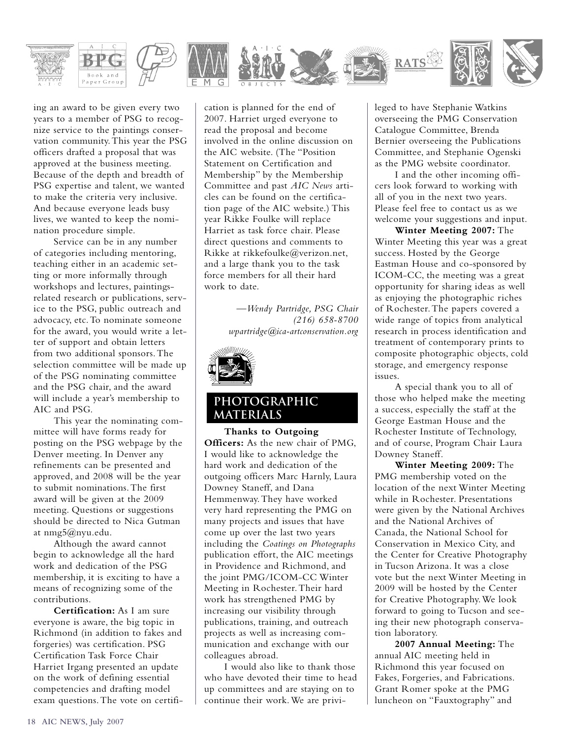

ing an award to be given every two years to a member of PSG to recognize service to the paintings conservation community.This year the PSG officers drafted a proposal that was approved at the business meeting. Because of the depth and breadth of PSG expertise and talent, we wanted to make the criteria very inclusive. And because everyone leads busy lives, we wanted to keep the nomination procedure simple.

Service can be in any number of categories including mentoring, teaching either in an academic setting or more informally through workshops and lectures, paintingsrelated research or publications, service to the PSG, public outreach and advocacy, etc.To nominate someone for the award, you would write a letter of support and obtain letters from two additional sponsors.The selection committee will be made up of the PSG nominating committee and the PSG chair, and the award will include a year's membership to AIC and PSG.

This year the nominating committee will have forms ready for posting on the PSG webpage by the Denver meeting. In Denver any refinements can be presented and approved, and 2008 will be the year to submit nominations.The first award will be given at the 2009 meeting. Questions or suggestions should be directed to Nica Gutman at nmg5@nyu.edu.

Although the award cannot begin to acknowledge all the hard work and dedication of the PSG membership, it is exciting to have a means of recognizing some of the contributions.

**Certification:** As I am sure everyone is aware, the big topic in Richmond (in addition to fakes and forgeries) was certification. PSG Certification Task Force Chair Harriet Irgang presented an update on the work of defining essential competencies and drafting model exam questions.The vote on certification is planned for the end of 2007. Harriet urged everyone to read the proposal and become involved in the online discussion on the AIC website. (The "Position Statement on Certification and Membership" by the Membership Committee and past *AIC News* articles can be found on the certification page of the AIC website.) This year Rikke Foulke will replace Harriet as task force chair. Please direct questions and comments to Rikke at rikkefoulke@verizon.net, and a large thank you to the task force members for all their hard work to date.

> *—Wendy Partridge, PSG Chair (216) 658-8700 wpartridge@ica-artconservation.org*



## **photographic materials**

**Thanks to Outgoing Officers:** As the new chair of PMG, I would like to acknowledge the hard work and dedication of the outgoing officers Marc Harnly, Laura Downey Staneff, and Dana Hemmenway.They have worked very hard representing the PMG on many projects and issues that have come up over the last two years including the *Coatings on Photographs* publication effort, the AIC meetings in Providence and Richmond, and the joint PMG/ICOM-CC Winter Meeting in Rochester.Their hard work has strengthened PMG by increasing our visibility through publications, training, and outreach projects as well as increasing communication and exchange with our colleagues abroad.

I would also like to thank those who have devoted their time to head up committees and are staying on to continue their work.We are privileged to have Stephanie Watkins overseeing the PMG Conservation Catalogue Committee, Brenda Bernier overseeing the Publications Committee, and Stephanie Ogenski as the PMG website coordinator.

I and the other incoming officers look forward to working with all of you in the next two years. Please feel free to contact us as we welcome your suggestions and input.

**Winter Meeting 2007:** The Winter Meeting this year was a great success. Hosted by the George Eastman House and co-sponsored by ICOM-CC, the meeting was a great opportunity for sharing ideas as well as enjoying the photographic riches of Rochester.The papers covered a wide range of topics from analytical research in process identification and treatment of contemporary prints to composite photographic objects, cold storage, and emergency response issues.

A special thank you to all of those who helped make the meeting a success, especially the staff at the George Eastman House and the Rochester Institute of Technology, and of course, Program Chair Laura Downey Staneff.

**Winter Meeting 2009:** The PMG membership voted on the location of the next Winter Meeting while in Rochester. Presentations were given by the National Archives and the National Archives of Canada, the National School for Conservation in Mexico City, and the Center for Creative Photography in Tucson Arizona. It was a close vote but the next Winter Meeting in 2009 will be hosted by the Center for Creative Photography.We look forward to going to Tucson and seeing their new photograph conservation laboratory.

**2007 Annual Meeting:** The annual AIC meeting held in Richmond this year focused on Fakes, Forgeries, and Fabrications. Grant Romer spoke at the PMG luncheon on "Fauxtography" and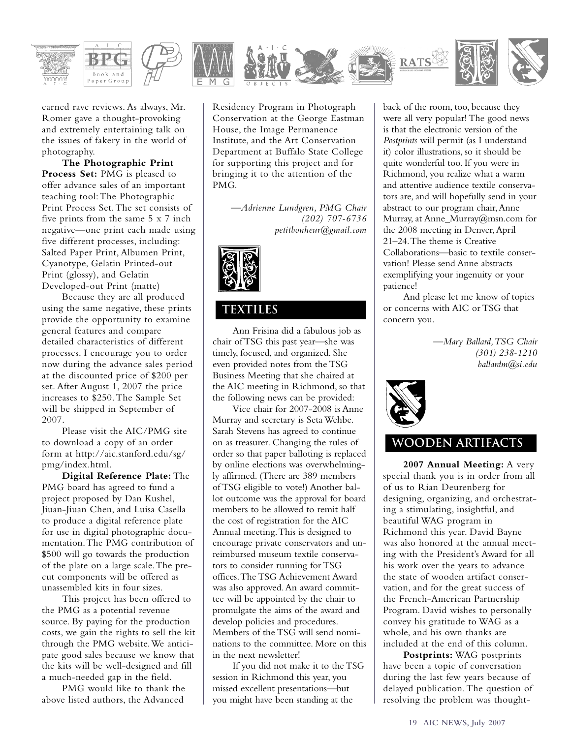

earned rave reviews. As always, Mr. Romer gave a thought-provoking and extremely entertaining talk on the issues of fakery in the world of photography.

**The Photographic Print Process Set:** PMG is pleased to offer advance sales of an important teaching tool:The Photographic Print Process Set.The set consists of five prints from the same 5 x 7 inch negative—one print each made using five different processes, including: Salted Paper Print, Albumen Print, Cyanotype, Gelatin Printed-out Print (glossy), and Gelatin Developed-out Print (matte)

Because they are all produced using the same negative, these prints provide the opportunity to examine general features and compare detailed characteristics of different processes. I encourage you to order now during the advance sales period at the discounted price of \$200 per set. After August 1, 2007 the price increases to \$250.The Sample Set will be shipped in September of 2007.

Please visit the AIC/PMG site to download a copy of an order form at http://aic.stanford.edu/sg/ pmg/index.html.

**Digital Reference Plate:** The PMG board has agreed to fund a project proposed by Dan Kushel, Jiuan-Jiuan Chen, and Luisa Casella to produce a digital reference plate for use in digital photographic documentation.The PMG contribution of \$500 will go towards the production of the plate on a large scale.The precut components will be offered as unassembled kits in four sizes.

This project has been offered to the PMG as a potential revenue source. By paying for the production costs, we gain the rights to sell the kit through the PMG website.We anticipate good sales because we know that the kits will be well-designed and fill a much-needed gap in the field.

PMG would like to thank the above listed authors, the Advanced

Residency Program in Photograph Conservation at the George Eastman House, the Image Permanence Institute, and the Art Conservation Department at Buffalo State College for supporting this project and for bringing it to the attention of the PMG.

> *—Adrienne Lundgren, PMG Chair (202) 707-6736 petitbonheur@gmail.com*



## **textiles**

Ann Frisina did a fabulous job as chair of TSG this past year—she was timely, focused, and organized. She even provided notes from the TSG Business Meeting that she chaired at the AIC meeting in Richmond, so that the following news can be provided:

Vice chair for 2007-2008 is Anne Murray and secretary is Seta Wehbe. Sarah Stevens has agreed to continue on as treasurer. Changing the rules of order so that paper balloting is replaced by online elections was overwhelmingly affirmed. (There are 389 members of TSG eligible to vote!) Another ballot outcome was the approval for board members to be allowed to remit half the cost of registration for the AIC Annual meeting.This is designed to encourage private conservators and unreimbursed museum textile conservators to consider running for TSG offices.The TSG Achievement Award was also approved.An award committee will be appointed by the chair to promulgate the aims of the award and develop policies and procedures. Members of the TSG will send nominations to the committee. More on this in the next newsletter!

If you did not make it to the TSG session in Richmond this year, you missed excellent presentations—but you might have been standing at the

back of the room, too, because they were all very popular! The good news is that the electronic version of the *Postprints* will permit (as I understand it) color illustrations, so it should be quite wonderful too. If you were in Richmond, you realize what a warm and attentive audience textile conservators are, and will hopefully send in your abstract to our program chair, Anne Murray, at Anne\_Murray@msn.com for the 2008 meeting in Denver,April 21–24.The theme is Creative Collaborations—basic to textile conservation! Please send Anne abstracts exemplifying your ingenuity or your patience!

And please let me know of topics or concerns with AIC or TSG that concern you.

> *—Mary Ballard,TSG Chair (301) 238-1210 ballardm@si.edu*



## **wooden artifacts**

**2007 Annual Meeting:** A very special thank you is in order from all of us to Rian Deurenberg for designing, organizing, and orchestrating a stimulating, insightful, and beautiful WAG program in Richmond this year. David Bayne was also honored at the annual meeting with the President's Award for all his work over the years to advance the state of wooden artifact conservation, and for the great success of the French-American Partnership Program. David wishes to personally convey his gratitude to WAG as a whole, and his own thanks are included at the end of this column.

**Postprints:** WAG postprints have been a topic of conversation during the last few years because of delayed publication.The question of resolving the problem was thought-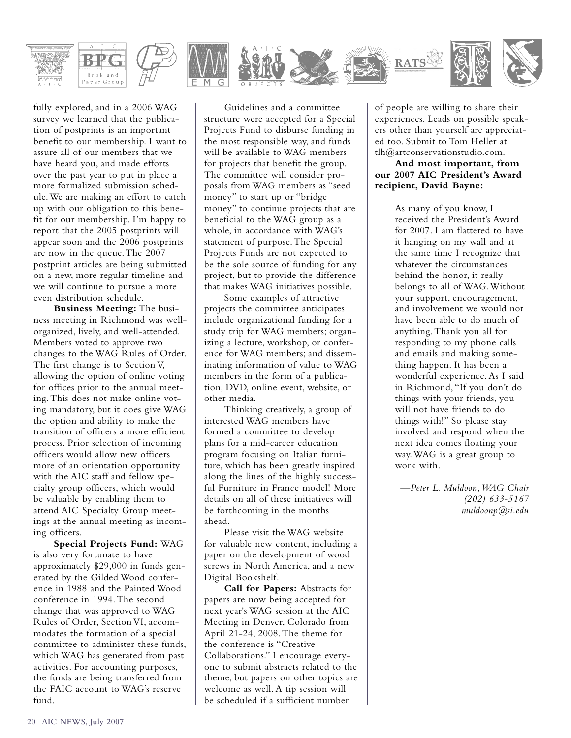

fully explored, and in a 2006 WAG survey we learned that the publication of postprints is an important benefit to our membership. I want to assure all of our members that we have heard you, and made efforts over the past year to put in place a more formalized submission schedule.We are making an effort to catch up with our obligation to this benefit for our membership. I'm happy to report that the 2005 postprints will appear soon and the 2006 postprints are now in the queue.The 2007 postprint articles are being submitted on a new, more regular timeline and we will continue to pursue a more even distribution schedule.

**Business Meeting:** The business meeting in Richmond was wellorganized, lively, and well-attended. Members voted to approve two changes to the WAG Rules of Order. The first change is to Section V, allowing the option of online voting for offices prior to the annual meeting.This does not make online voting mandatory, but it does give WAG the option and ability to make the transition of officers a more efficient process. Prior selection of incoming officers would allow new officers more of an orientation opportunity with the AIC staff and fellow specialty group officers, which would be valuable by enabling them to attend AIC Specialty Group meetings at the annual meeting as incoming officers.

**Special Projects Fund:** WAG is also very fortunate to have approximately \$29,000 in funds generated by the Gilded Wood conference in 1988 and the Painted Wood conference in 1994.The second change that was approved to WAG Rules of Order, Section VI, accommodates the formation of a special committee to administer these funds, which WAG has generated from past activities. For accounting purposes, the funds are being transferred from the FAIC account to WAG's reserve fund.

Guidelines and a committee structure were accepted for a Special Projects Fund to disburse funding in the most responsible way, and funds will be available to WAG members for projects that benefit the group. The committee will consider proposals from WAG members as "seed money" to start up or "bridge money" to continue projects that are beneficial to the WAG group as a whole, in accordance with WAG's statement of purpose.The Special Projects Funds are not expected to be the sole source of funding for any project, but to provide the difference that makes WAG initiatives possible.

Some examples of attractive projects the committee anticipates include organizational funding for a study trip for WAG members; organizing a lecture, workshop, or conference for WAG members; and disseminating information of value to WAG members in the form of a publication, DVD, online event, website, or other media.

Thinking creatively, a group of interested WAG members have formed a committee to develop plans for a mid-career education program focusing on Italian furniture, which has been greatly inspired along the lines of the highly successful Furniture in France model! More details on all of these initiatives will be forthcoming in the months ahead.

Please visit the WAG website for valuable new content, including a paper on the development of wood screws in North America, and a new Digital Bookshelf.

**Call for Papers:** Abstracts for papers are now being accepted for next year's WAG session at the AIC Meeting in Denver, Colorado from April 21-24, 2008.The theme for the conference is "Creative Collaborations." I encourage everyone to submit abstracts related to the theme, but papers on other topics are welcome as well. A tip session will be scheduled if a sufficient number

of people are willing to share their experiences. Leads on possible speakers other than yourself are appreciated too. Submit to Tom Heller at tlh@artconservationstudio.com.

### **And most important, from our 2007 AIC President's Award recipient, David Bayne:**

As many of you know, I received the President's Award for 2007. I am flattered to have it hanging on my wall and at the same time I recognize that whatever the circumstances behind the honor, it really belongs to all of WAG.Without your support, encouragement, and involvement we would not have been able to do much of anything.Thank you all for responding to my phone calls and emails and making something happen. It has been a wonderful experience. As I said in Richmond, "If you don't do things with your friends, you will not have friends to do things with!" So please stay involved and respond when the next idea comes floating your way.WAG is a great group to work with.

*—Peter L. Muldoon,WAG Chair (202) 633-5167 muldoonp@si.edu*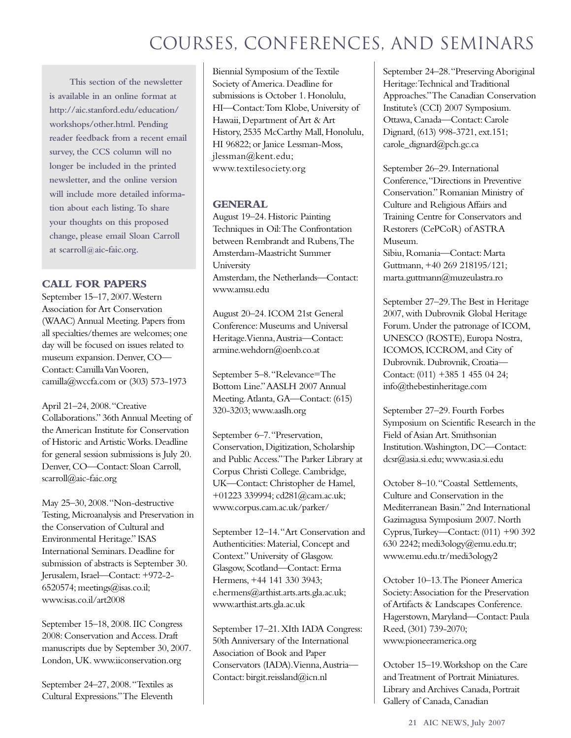**This section of the newsletter is available in an online format at http://aic.stanford.edu/education/ workshops/other.html. Pending reader feedback from a recent email survey, the CCS column will no longer be included in the printed newsletter, and the online version will include more detailed information about each listing.To share your thoughts on this proposed change, please email Sloan Carroll at scarroll@aic-faic.org.**

## **CALL FOR PAPERS**

September 15–17, 2007.Western Association for Art Conservation (WAAC) Annual Meeting. Papers from all specialties/themes are welcomes; one day will be focused on issues related to museum expansion. Denver, CO— Contact: Camilla Van Vooren, camilla@wccfa.com or (303) 573-1973

April 21–24, 2008."Creative Collaborations." 36th Annual Meeting of the American Institute for Conservation of Historic and Artistic Works. Deadline for general session submissions is July 20. Denver, CO—Contact: Sloan Carroll, scarroll@aic-faic.org

May 25–30, 2008."Non-destructive Testing, Microanalysis and Preservation in the Conservation of Cultural and Environmental Heritage." ISAS International Seminars. Deadline for submission of abstracts is September 30. Jerusalem, Israel—Contact: +972-2- 6520574; meetings@isas.co.il; www.isas.co.il/art2008

September 15–18, 2008. IIC Congress 2008: Conservation and Access. Draft manuscripts due by September 30, 2007. London, UK. www.iiconservation.org

September 24–27, 2008."Textiles as Cultural Expressions."The Eleventh

Biennial Symposium of the Textile Society of America. Deadline for submissions is October 1. Honolulu, HI—Contact:Tom Klobe, University of Hawaii, Department of Art & Art History, 2535 McCarthy Mall, Honolulu, HI 96822; or Janice Lessman-Moss, jlessman@kent.edu; www.textilesociety.org

## **GENERAL**

August 19–24. Historic Painting Techniques in Oil:The Confrontation between Rembrandt and Rubens,The Amsterdam-Maastricht Summer University Amsterdam, the Netherlands—Contact: www.amsu.edu

August 20–24. ICOM 21st General Conference: Museums and Universal Heritage.Vienna,Austria—Contact: armine.wehdorn@oenb.co.at

September 5–8."Relevance=The Bottom Line."AASLH 2007 Annual Meeting.Atlanta, GA—Contact: (615) 320-3203; www.aaslh.org

September 6–7."Preservation, Conservation, Digitization, Scholarship and Public Access."The Parker Library at Corpus Christi College. Cambridge, UK—Contact: Christopher de Hamel, +01223 339994; cd281@cam.ac.uk; www.corpus.cam.ac.uk/parker/

September 12–14."Art Conservation and Authenticities: Material, Concept and Context." University of Glasgow. Glasgow, Scotland—Contact: Erma Hermens, +44 141 330 3943; e.hermens@arthist.arts.arts.gla.ac.uk; www.arthist.arts.gla.ac.uk

September 17–21. XIth IADA Congress: 50th Anniversary of the International Association of Book and Paper Conservators (IADA).Vienna,Austria— Contact: birgit.reissland@icn.nl

September 24–28."Preserving Aboriginal Heritage:Technical and Traditional Approaches."The Canadian Conservation Institute's (CCI) 2007 Symposium. Ottawa, Canada—Contact: Carole Dignard, (613) 998-3721, ext.151; carole\_dignard@pch.gc.ca

September 26–29. International Conference,"Directions in Preventive Conservation." Romanian Ministry of Culture and Religious Affairs and Training Centre for Conservators and Restorers (CePCoR) of ASTRA Museum.

Sibiu, Romania—Contact: Marta Guttmann, +40 269 218195/121; marta.guttmann@muzeulastra.ro

September 27–29.The Best in Heritage 2007, with Dubrovnik Global Heritage Forum. Under the patronage of ICOM, UNESCO (ROSTE), Europa Nostra, ICOMOS, ICCROM, and City of Dubrovnik. Dubrovnik, Croatia— Contact: (011) +385 1 455 04 24; info@thebestinheritage.com

September 27–29. Fourth Forbes Symposium on Scientific Research in the Field of Asian Art. Smithsonian Institution.Washington, DC—Contact: dcsr@asia.si.edu; www.asia.si.edu

October 8–10."Coastal Settlements, Culture and Conservation in the Mediterranean Basin." 2nd International Gazimagusa Symposium 2007. North Cyprus,Turkey—Contact: (011) +90 392 630 2242; medi3ology@emu.edu.tr; www.emu.edu.tr/medi3ology2

October 10–13.The Pioneer America Society:Association for the Preservation of Artifacts & Landscapes Conference. Hagerstown, Maryland—Contact: Paula Reed, (301) 739-2070; www.pioneeramerica.org

October 15–19.Workshop on the Care and Treatment of Portrait Miniatures. Library and Archives Canada, Portrait Gallery of Canada, Canadian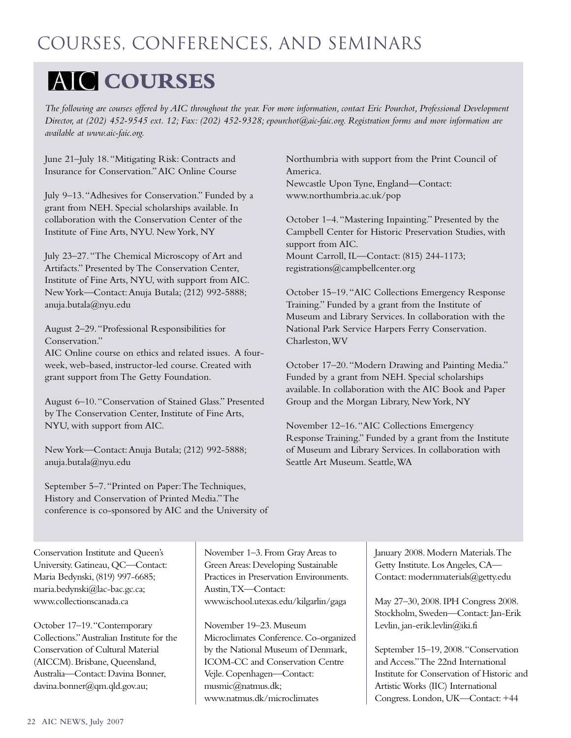## **AIC COURSES**

*The following are courses offered by AIC throughout the year. For more information, contact Eric Pourchot, Professional Development Director, at (202) 452-9545 ext. 12; Fax: (202) 452-9328; epourchot@aic-faic.org. Registration forms and more information are available at www.aic-faic.org.*

June 21–July 18."Mitigating Risk: Contracts and Insurance for Conservation."AIC Online Course

July 9–13."Adhesives for Conservation." Funded by a grant from NEH. Special scholarships available. In collaboration with the Conservation Center of the Institute of Fine Arts, NYU. New York, NY

July 23–27."The Chemical Microscopy of Art and Artifacts." Presented by The Conservation Center, Institute of Fine Arts, NYU, with support from AIC. New York—Contact:Anuja Butala; (212) 992-5888; anuja.butala@nyu.edu

August 2–29."Professional Responsibilities for Conservation."

AIC Online course on ethics and related issues. A fourweek, web-based, instructor-led course. Created with grant support from The Getty Foundation.

August 6–10."Conservation of Stained Glass." Presented by The Conservation Center, Institute of Fine Arts, NYU, with support from AIC.

NewYork—Contact:Anuja Butala; (212) 992-5888; anuja.butala@nyu.edu

Northumbria with support from the Print Council of America. Newcastle Upon Tyne, England—Contact:

www.northumbria.ac.uk/pop

October 1–4."Mastering Inpainting." Presented by the Campbell Center for Historic Preservation Studies, with support from AIC. Mount Carroll, IL—Contact: (815) 244-1173; registrations@campbellcenter.org

October 15–19."AIC Collections Emergency Response Training." Funded by a grant from the Institute of Museum and Library Services. In collaboration with the National Park Service Harpers Ferry Conservation. Charleston,WV

October 17–20."Modern Drawing and Painting Media." Funded by a grant from NEH. Special scholarships available. In collaboration with the AIC Book and Paper Group and the Morgan Library, NewYork, NY

November 12–16."AIC Collections Emergency Response Training." Funded by a grant from the Institute of Museum and Library Services. In collaboration with Seattle Art Museum. Seattle,WA

September 5–7."Printed on Paper:The Techniques, History and Conservation of Printed Media."The conference is co-sponsored by AIC and the University of

Conservation Institute and Queen's University. Gatineau, QC—Contact: Maria Bedynski, (819) 997-6685; maria.bedynski@lac-bac.gc.ca; www.collectionscanada.ca

October 17–19."Contemporary Collections."Australian Institute for the Conservation of Cultural Material (AICCM). Brisbane, Queensland, Australia—Contact: Davina Bonner, davina.bonner@qm.qld.gov.au;

November 1–3. From Gray Areas to Green Areas: Developing Sustainable Practices in Preservation Environments. Austin,TX—Contact: www.ischool.utexas.edu/kilgarlin/gaga

November 19–23. Museum Microclimates Conference. Co-organized by the National Museum of Denmark, ICOM-CC and Conservation Centre Vejle. Copenhagen—Contact: musmic@natmus.dk; www.natmus.dk/microclimates

January 2008. Modern Materials.The Getty Institute. Los Angeles, CA— Contact: modernmaterials@getty.edu

May 27–30, 2008.IPH Congress 2008. Stockholm, Sweden—Contact: Jan-Erik Levlin, jan-erik.levlin@iki.fi

September 15–19, 2008."Conservation and Access."The 22nd International Institute for Conservation of Historic and Artistic Works (IIC) International Congress. London, UK—Contact: +44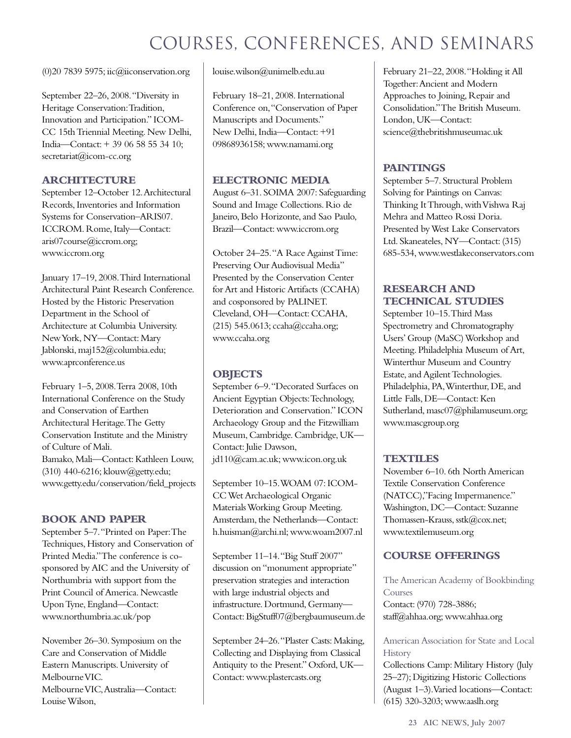(0)20 7839 5975; iic@iiconservation.org

September 22–26, 2008."Diversity in Heritage Conservation:Tradition, Innovation and Participation." ICOM-CC 15th Triennial Meeting. New Delhi, India—Contact: + 39 06 58 55 34 10; secretariat@icom-cc.org

## **ARCHITECTURE**

September 12–October 12.Architectural Records, Inventories and Information Systems for Conservation–ARIS07. ICCROM. Rome, Italy—Contact: aris07course@iccrom.org; www.iccrom.org

January 17–19, 2008.Third International Architectural Paint Research Conference. Hosted by the Historic Preservation Department in the School of Architecture at Columbia University. New York, NY—Contact: Mary Jablonski, maj152@columbia.edu; www.aprconference.us

February 1–5, 2008.Terra 2008, 10th International Conference on the Study and Conservation of Earthen Architectural Heritage.The Getty Conservation Institute and the Ministry of Culture of Mali. Bamako, Mali—Contact: Kathleen Louw, (310) 440-6216; klouw@getty.edu; www.getty.edu/conservation/field\_projects

## **BOOK AND PAPER**

September 5–7."Printed on Paper:The Techniques, History and Conservation of Printed Media."The conference is cosponsored by AIC and the University of Northumbria with support from the Print Council of America. Newcastle Upon Tyne, England—Contact: www.northumbria.ac.uk/pop

November 26–30. Symposium on the Care and Conservation of Middle Eastern Manuscripts. University of Melbourne VIC. Melbourne VIC,Australia—Contact: Louise Wilson,

louise.wilson@unimelb.edu.au

February 18–21, 2008. International Conference on,"Conservation of Paper Manuscripts and Documents." New Delhi, India—Contact: +91 09868936158; www.namami.org

## **ELECTRONIC MEDIA**

August 6–31. SOIMA 2007: Safeguarding Sound and Image Collections. Rio de Janeiro, Belo Horizonte, and Sao Paulo, Brazil—Contact: www.iccrom.org

October 24–25."A Race Against Time: Preserving Our Audiovisual Media" Presented by the Conservation Center for Art and Historic Artifacts (CCAHA) and cosponsored by PALINET. Cleveland, OH—Contact: CCAHA, (215) 545.0613; ccaha@ccaha.org; www.ccaha.org

## **OBJECTS**

September 6–9."Decorated Surfaces on Ancient Egyptian Objects:Technology, Deterioration and Conservation." ICON Archaeology Group and the Fitzwilliam Museum, Cambridge. Cambridge, UK— Contact: Julie Dawson, jd110@cam.ac.uk; www.icon.org.uk

September 10–15.WOAM 07: ICOM-CC Wet Archaeological Organic Materials Working Group Meeting. Amsterdam, the Netherlands—Contact: h.huisman@archi.nl; www.woam2007.nl

September 11–14."Big Stuff 2007" discussion on "monument appropriate" preservation strategies and interaction with large industrial objects and infrastructure. Dortmund, Germany— Contact: BigStuff07@bergbaumuseum.de

September 24–26."Plaster Casts: Making, Collecting and Displaying from Classical Antiquity to the Present." Oxford, UK— Contact: www.plastercasts.org

February 21–22, 2008."Holding it All Together:Ancient and Modern Approaches to Joining, Repair and Consolidation."The British Museum. London, UK—Contact: science@thebritishmuseumac.uk

## **PAINTINGS**

September 5–7. Structural Problem Solving for Paintings on Canvas: Thinking It Through, with Vishwa Raj Mehra and Matteo Rossi Doria. Presented by West Lake Conservators Ltd. Skaneateles, NY—Contact: (315) 685-534, www.westlakeconservators.com

## **RESEARCH AND TECHNICAL STUDIES**

September 10–15.Third Mass Spectrometry and Chromatography Users' Group (MaSC) Workshop and Meeting. Philadelphia Museum of Art, Winterthur Museum and Country Estate, and Agilent Technologies. Philadelphia, PA,Winterthur, DE, and Little Falls, DE-Contact: Ken Sutherland, masc07@philamuseum.org; www.mascgroup.org

## **TEXTILES**

November 6–10. 6th North American Textile Conservation Conference (NATCC),"Facing Impermanence." Washington, DC—Contact: Suzanne Thomassen-Krauss, sstk@cox.net; www.textilemuseum.org

## **COURSE OFFERINGS**

The American Academy of Bookbinding Courses Contact: (970) 728-3886; staff@ahhaa.org; www.ahhaa.org

American Association for State and Local **History** 

Collections Camp: Military History (July 25–27); Digitizing Historic Collections (August 1–3).Varied locations—Contact: (615) 320-3203; www.aaslh.org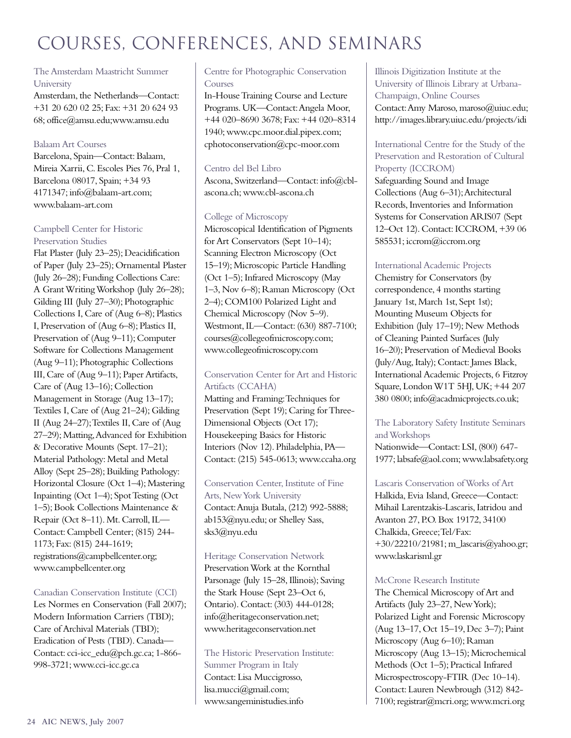## The Amsterdam Maastricht Summer University

Amsterdam, the Netherlands—Contact: +31 20 620 02 25; Fax: +31 20 624 93 68; office@amsu.edu;www.amsu.edu

## Balaam Art Courses

Barcelona, Spain—Contact: Balaam, Mireia Xarrii, C. Escoles Pies 76, Pral 1, Barcelona 08017, Spain; +34 93 4171347; info@balaam-art.com; www.balaam-art.com

### Campbell Center for Historic Preservation Studies

Flat Plaster (July 23–25); Deacidification of Paper (July 23–25); Ornamental Plaster (July 26–28); Funding Collections Care: A Grant Writing Workshop (July 26–28); Gilding III (July 27–30); Photographic Collections I, Care of (Aug 6–8); Plastics I, Preservation of (Aug 6–8); Plastics II, Preservation of (Aug 9–11); Computer Software for Collections Management (Aug 9–11); Photographic Collections III, Care of (Aug 9–11); Paper Artifacts, Care of (Aug 13–16); Collection Management in Storage (Aug 13–17); Textiles I, Care of (Aug 21–24); Gilding II (Aug 24–27);Textiles II, Care of (Aug 27–29); Matting,Advanced for Exhibition & Decorative Mounts (Sept. 17–21); Material Pathology: Metal and Metal Alloy (Sept 25–28); Building Pathology: Horizontal Closure (Oct 1–4); Mastering Inpainting (Oct 1–4); Spot Testing (Oct 1–5); Book Collections Maintenance & Repair (Oct 8–11). Mt. Carroll, IL— Contact: Campbell Center; (815) 244- 1173; Fax: (815) 244-1619; registrations@campbellcenter.org; www.campbellcenter.org

## Canadian Conservation Institute (CCI)

Les Normes en Conservation (Fall 2007); Modern Information Carriers (TBD); Care of Archival Materials (TBD); Eradication of Pests (TBD). Canada— Contact: cci-icc\_edu@pch.gc.ca; 1-866- 998-3721; www.cci-icc.gc.ca

## Centre for Photographic Conservation Courses

In-House Training Course and Lecture Programs. UK—Contact:Angela Moor, +44 020–8690 3678; Fax: +44 020–8314 1940; www.cpc.moor.dial.pipex.com; cphotoconservation@cpc-moor.com

## Centro del Bel Libro

Ascona, Switzerland—Contact: info@cblascona.ch; www.cbl-ascona.ch

## College of Microscopy

Microscopical Identification of Pigments for Art Conservators (Sept 10–14); Scanning Electron Microscopy (Oct 15–19); Microscopic Particle Handling (Oct 1–5); Infrared Microscopy (May 1–3, Nov 6–8); Raman Microscopy (Oct 2–4); COM100 Polarized Light and Chemical Microscopy (Nov 5–9). Westmont, IL—Contact: (630) 887-7100; courses@collegeofmicroscopy.com; www.collegeofmicroscopy.com

## Conservation Center for Art and Historic Artifacts (CCAHA)

Matting and Framing:Techniques for Preservation (Sept 19); Caring for Three-Dimensional Objects (Oct 17); Housekeeping Basics for Historic Interiors (Nov 12). Philadelphia, PA— Contact: (215) 545-0613; www.ccaha.org

Conservation Center, Institute of Fine Arts, New York University Contact:Anuja Butala, (212) 992-5888; ab153@nyu.edu; or Shelley Sass, sks3@nyu.edu

Heritage Conservation Network Preservation Work at the Kornthal Parsonage (July 15–28, Illinois); Saving the Stark House (Sept 23–Oct 6, Ontario). Contact: (303) 444-0128; info@heritageconservation.net; www.heritageconservation.net

The Historic Preservation Institute: Summer Program in Italy Contact: Lisa Muccigrosso, lisa.mucci@gmail.com; www.sangeministudies.info

Illinois Digitization Institute at the University of Illinois Library at Urbana-Champaign, Online Courses Contact:Amy Maroso, maroso@uiuc.edu; http://images.library.uiuc.edu/projects/idi

## International Centre for the Study of the Preservation and Restoration of Cultural Property (ICCROM)

Safeguarding Sound and Image Collections (Aug 6–31);Architectural Records, Inventories and Information Systems for Conservation ARIS07 (Sept 12–Oct 12). Contact: ICCROM, +39 06 585531; iccrom@iccrom.org

## International Academic Projects

Chemistry for Conservators (by correspondence, 4 months starting January 1st, March 1st, Sept 1st); Mounting Museum Objects for Exhibition (July 17–19); New Methods of Cleaning Painted Surfaces (July 16–20); Preservation of Medieval Books (July/Aug, Italy); Contact: James Black, International Academic Projects, 6 Fitzroy Square, London W1T 5HJ, UK; +44 207 380 0800; info@acadmicprojects.co.uk;

## The Laboratory Safety Institute Seminars and Workshops

Nationwide—Contact: LSI, (800) 647- 1977; labsafe@aol.com; www.labsafety.org

Lascaris Conservation of Works of Art Halkida, Evia Island, Greece—Contact: Mihail Larentzakis-Lascaris, Iatridou and Avanton 27, P.O. Box 19172, 34100 Chalkida, Greece;Tel/Fax: +30/22210/21981; m\_lascaris@yahoo.gr; www.laskarisml.gr

## McCrone Research Institute

The Chemical Microscopy of Art and Artifacts (July 23–27, New York); Polarized Light and Forensic Microscopy (Aug 13–17, Oct 15–19, Dec 3–7); Paint Microscopy (Aug 6–10); Raman Microscopy (Aug 13–15); Microchemical Methods (Oct 1–5); Practical Infrared Microspectroscopy-FTIR (Dec 10–14). Contact: Lauren Newbrough (312) 842- 7100; registrar@mcri.org; www.mcri.org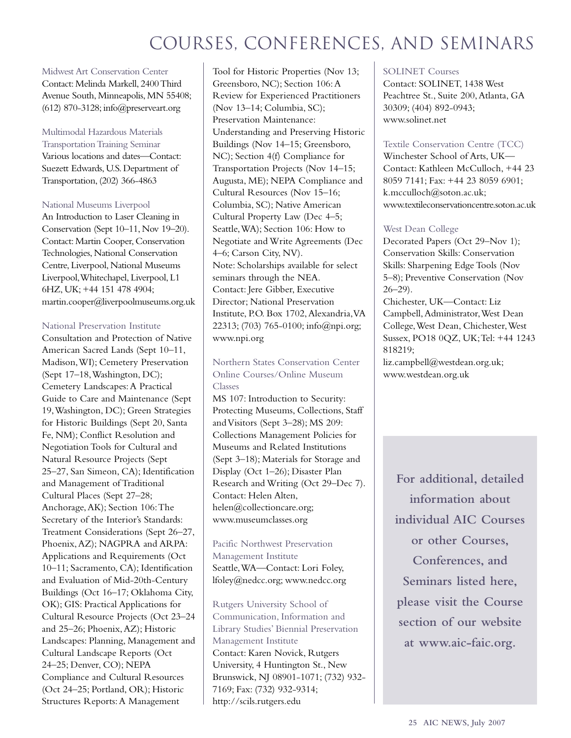Midwest Art Conservation Center Contact: Melinda Markell, 2400 Third Avenue South, Minneapolis, MN 55408; (612) 870-3128; info@preserveart.org

### Multimodal Hazardous Materials

Transportation Training Seminar Various locations and dates—Contact: Suezett Edwards, U.S. Department of Transportation, (202) 366-4863

#### National Museums Liverpool

An Introduction to Laser Cleaning in Conservation (Sept 10–11, Nov 19–20). Contact: Martin Cooper, Conservation Technologies, National Conservation Centre, Liverpool, National Museums Liverpool,Whitechapel, Liverpool, L1 6HZ,UK;+44 151 478 4904; martin.cooper@liverpoolmuseums.org.uk

#### National Preservation Institute

Consultation and Protection of Native American Sacred Lands (Sept 10–11, Madison,WI); Cemetery Preservation (Sept 17–18,Washington, DC); Cemetery Landscapes:A Practical Guide to Care and Maintenance (Sept 19,Washington, DC); Green Strategies for Historic Buildings (Sept 20, Santa Fe, NM); Conflict Resolution and Negotiation Tools for Cultural and Natural Resource Projects (Sept 25–27, San Simeon, CA); Identification and Management of Traditional Cultural Places (Sept 27–28; Anchorage,AK); Section 106:The Secretary of the Interior's Standards: Treatment Considerations (Sept 26–27, Phoenix,AZ); NAGPRA and ARPA: Applications and Requirements (Oct 10–11; Sacramento, CA); Identification and Evaluation of Mid-20th-Century Buildings (Oct 16–17; Oklahoma City, OK); GIS: Practical Applications for Cultural Resource Projects (Oct 23–24 and 25–26; Phoenix,AZ); Historic Landscapes: Planning, Management and Cultural Landscape Reports (Oct 24–25; Denver, CO); NEPA Compliance and Cultural Resources (Oct 24–25; Portland, OR); Historic Structures Reports:A Management

Tool for Historic Properties (Nov 13; Greensboro, NC); Section 106:A Review for Experienced Practitioners (Nov 13–14; Columbia, SC); Preservation Maintenance: Understanding and Preserving Historic Buildings (Nov 14–15; Greensboro, NC); Section 4(f) Compliance for Transportation Projects (Nov 14–15; Augusta, ME); NEPA Compliance and Cultural Resources (Nov 15–16; Columbia, SC); Native American Cultural Property Law (Dec 4–5; Seattle,WA); Section 106: How to Negotiate and Write Agreements (Dec 4–6; Carson City, NV). Note: Scholarships available for select seminars through the NEA. Contact: Jere Gibber, Executive Director; National Preservation Institute, P.O. Box 1702,Alexandria,VA 22313; (703) 765-0100; info@npi.org; www.npi.org

## Northern States Conservation Center Online Courses/Online Museum Classes

MS 107: Introduction to Security: Protecting Museums, Collections, Staff and Visitors (Sept 3–28); MS 209: Collections Management Policies for Museums and Related Institutions (Sept 3–18); Materials for Storage and Display (Oct 1–26); Disaster Plan Research and Writing (Oct 29–Dec 7). Contact: Helen Alten, helen@collectioncare.org; www.museumclasses.org

## Pacific Northwest Preservation Management Institute Seattle,WA—Contact: Lori Foley, lfoley@nedcc.org; www.nedcc.org

Rutgers University School of Communication, Information and Library Studies' Biennial Preservation Management Institute Contact: Karen Novick, Rutgers University, 4 Huntington St., New Brunswick, NJ 08901-1071; (732) 932- 7169; Fax: (732) 932-9314; http://scils.rutgers.edu

### SOLINET Courses

Contact: SOLINET, 1438 West Peachtree St., Suite 200, Atlanta, GA 30309; (404) 892-0943; www.solinet.net

#### Textile Conservation Centre (TCC)

Winchester School of Arts, UK— Contact: Kathleen McCulloch, +44 23 8059 7141; Fax: +44 23 8059 6901; k.mcculloch@soton.ac.uk; www.textileconservationcentre.soton.ac.uk

### West Dean College

Decorated Papers (Oct 29–Nov 1); Conservation Skills: Conservation Skills: Sharpening Edge Tools (Nov 5–8); Preventive Conservation (Nov  $26 - 29$ ).

Chichester, UK—Contact: Liz Campbell,Administrator,West Dean College,West Dean, Chichester,West Sussex, PO18 0QZ, UK;Tel: +44 1243 818219;

liz.campbell@westdean.org.uk; www.westdean.org.uk

> **For additional, detailed information about individual AIC Courses or other Courses, Conferences, and Seminars listed here, please visit the Course section of our website at www.aic-faic.org.**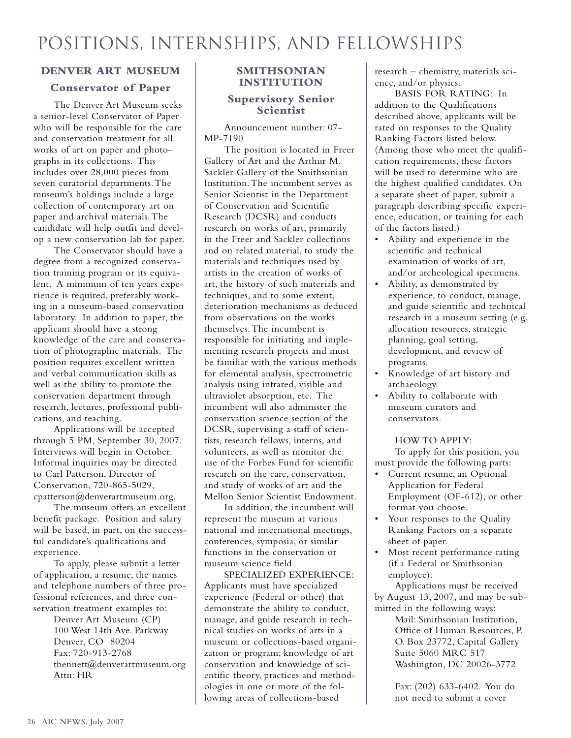## **DENVER ART MUSEUM**

## **Conservator of Paper**

The Denver Art Museum seeks a senior-level Conservator of Paper who will be responsible for the care and conservation treatment for all works of art on paper and photographs in its collections. This includes over 28,000 pieces from seven curatorial departments.The museum's holdings include a large collection of contemporary art on paper and archival materials.The candidate will help outfit and develop a new conservation lab for paper.

The Conservator should have a degree from a recognized conservation training program or its equivalent. A minimum of ten years experience is required, preferably working in a museum-based conservation laboratory. In addition to paper, the applicant should have a strong knowledge of the care and conservation of photographic materials. The position requires excellent written and verbal communication skills as well as the ability to promote the conservation department through research, lectures, professional publications, and teaching.

Applications will be accepted through 5 PM, September 30, 2007. Interviews will begin in October. Informal inquiries may be directed to Carl Patterson, Director of Conservation, 720-865-5029, cpatterson@denverartmuseum.org.

The museum offers an excellent benefit package. Position and salary will be based, in part, on the successful candidate's qualifications and experience.

To apply, please submit a letter of application, a resume, the names and telephone numbers of three professional references, and three conservation treatment examples to:

> Denver Art Museum (CP) 100 West 14th Ave. Parkway Denver, CO 80204 Fax: 720-913-2768 tbennett@denverartmuseum.org Attn: HR

## **SMITHSONIAN INSTITUTION**

## **Supervisory Senior Scientist**

Announcement number: 07- MP-7190

The position is located in Freer Gallery of Art and the Arthur M. Sackler Gallery of the Smithsonian Institution.The incumbent serves as Senior Scientist in the Department of Conservation and Scientific Research (DCSR) and conducts research on works of art, primarily in the Freer and Sackler collections and on related material, to study the materials and techniques used by artists in the creation of works of art, the history of such materials and techniques, and to some extent, deterioration mechanisms as deduced from observations on the works themselves.The incumbent is responsible for initiating and implementing research projects and must be familiar with the various methods for elemental analysis, spectrometric analysis using infrared, visible and ultraviolet absorption, etc. The incumbent will also administer the conservation science section of the DCSR, supervising a staff of scientists, research fellows, interns, and volunteers, as well as monitor the use of the Forbes Fund for scientific research on the care, conservation, and study of works of art and the Mellon Senior Scientist Endowment.

In addition, the incumbent will represent the museum at various national and international meetings, conferences, symposia, or similar functions in the conservation or museum science field.

SPECIALIZED EXPERIENCE: Applicants must have specialized experience (Federal or other) that demonstrate the ability to conduct, manage, and guide research in technical studies on works of arts in a museum or collections-based organization or program; knowledge of art conservation and knowledge of scientific theory, practices and methodologies in one or more of the following areas of collections-based

research – chemistry, materials science, and/or physics.

BASIS FOR RATING: In addition to the Qualifications described above, applicants will be rated on responses to the Quality Ranking Factors listed below. (Among those who meet the qualification requirements, these factors will be used to determine who are the highest qualified candidates. On a separate sheet of paper, submit a paragraph describing specific experience, education, or training for each of the factors listed.)

- Ability and experience in the scientific and technical examination of works of art, and/or archeological specimens.
- Ability, as demonstrated by experience, to conduct, manage, and guide scientific and technical research in a museum setting (e.g. allocation resources, strategic planning, goal setting, development, and review of programs.
- Knowledge of art history and archaeology.
- Ability to collaborate with museum curators and conservators.

### HOW TO APPLY:

To apply for this position, you must provide the following parts:

- Current resume, an Optional Application for Federal Employment (OF-612), or other format you choose.
- Your responses to the Quality Ranking Factors on a separate sheet of paper.
- Most recent performance rating (if a Federal or Smithsonian employee).

Applications must be received by August 13, 2007, and may be submitted in the following ways:

Mail: Smithsonian Institution, Office of Human Resources, P. O. Box 23772, Capital Gallery Suite 5060 MRC 517 Washington, DC 20026-3772

Fax: (202) 633-6402. You do not need to submit a cover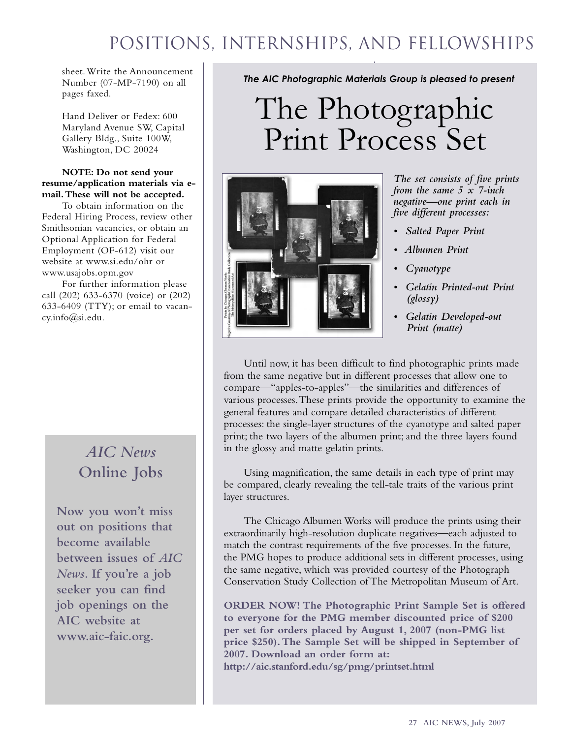## Positions, Internships, and fellowships

sheet.Write the Announcement Number (07-MP-7190) on all pages faxed.

Hand Deliver or Fedex: 600 Maryland Avenue SW, Capital Gallery Bldg., Suite 100W, Washington, DC 20024

### **NOTE: Do not send your resume/application materials via email.These will not be accepted.**

To obtain information on the Federal Hiring Process, review other Smithsonian vacancies, or obtain an Optional Application for Federal Employment (OF-612) visit our website at www.si.edu/ohr or www.usajobs.opm.gov

For further information please call (202) 633-6370 (voice) or (202) 633-6409 (TTY); or email to vacancy.info@si.edu.

## *AIC News* **Online Jobs**

**Now you won't miss out on positions that become available between issues of** *AIC News***. If you're a job seeker you can find job openings on the AIC website at www.aic-faic.org.**

*The AIC Photographic Materials Group is pleased to present*

# The Photographic Print Process Set



*The set consists of five prints from the same 5 x 7-inch negative—one print each in five different processes:*

- *• Salted Paper Print*
- *• Albumen Print*
- *• Cyanotype*
- *• Gelatin Printed-out Print (glossy)*
- *• Gelatin Developed-out Print (matte)*

Until now, it has been difficult to find photographic prints made from the same negative but in different processes that allow one to compare—"apples-to-apples"—the similarities and differences of various processes.These prints provide the opportunity to examine the general features and compare detailed characteristics of different processes: the single-layer structures of the cyanotype and salted paper print; the two layers of the albumen print; and the three layers found in the glossy and matte gelatin prints.

Using magnification, the same details in each type of print may be compared, clearly revealing the tell-tale traits of the various print layer structures.

The Chicago Albumen Works will produce the prints using their extraordinarily high-resolution duplicate negatives—each adjusted to match the contrast requirements of the five processes. In the future, the PMG hopes to produce additional sets in different processes, using the same negative, which was provided courtesy of the Photograph Conservation Study Collection of The Metropolitan Museum of Art.

**ORDER NOW! The Photographic Print Sample Set is offered to everyone for the PMG member discounted price of \$200 per set for orders placed by August 1, 2007 (non-PMG list price \$250).The Sample Set will be shipped in September of 2007. Download an order form at: http://aic.stanford.edu/sg/pmg/printset.html**